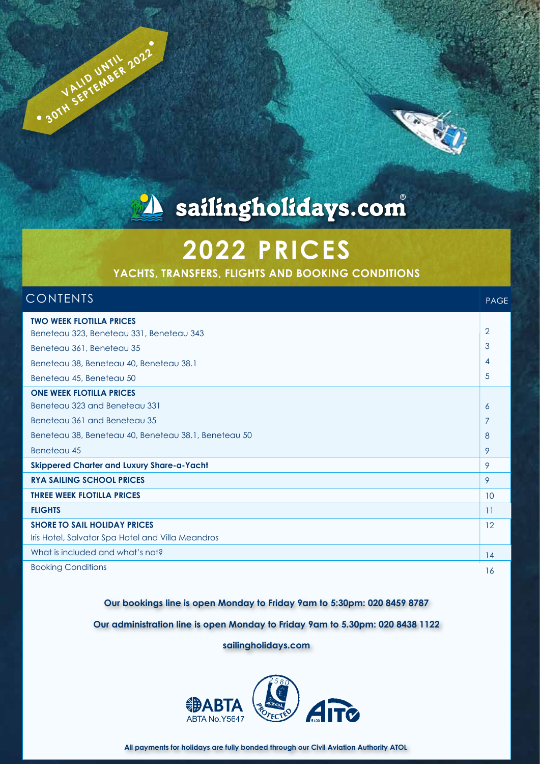

# A sailingholidays.com

# **2022 PRICES**

**YACHTS, TRANSFERS, FLIGHTS AND BOOKING CONDITIONS**

### CONTENTS

**VALID UNTIL 2022** 

PAGE

| <b>TWO WEEK FLOTILLA PRICES</b>                      |                 |
|------------------------------------------------------|-----------------|
| Beneteau 323, Beneteau 331, Beneteau 343             | $\overline{2}$  |
| Beneteau 361, Beneteau 35                            | 3               |
| Beneteau 38, Beneteau 40, Beneteau 38.1              | $\overline{4}$  |
| Beneteau 45, Beneteau 50                             | 5               |
| <b>ONE WEEK FLOTILLA PRICES</b>                      |                 |
| Beneteau 323 and Beneteau 331                        | 6               |
| Beneteau 361 and Beneteau 35                         | 7               |
| Beneteau 38, Beneteau 40, Beneteau 38.1, Beneteau 50 | 8               |
| Beneteau 45                                          | 9               |
| <b>Skippered Charter and Luxury Share-a-Yacht</b>    | 9               |
| <b>RYA SAILING SCHOOL PRICES</b>                     | 9               |
| <b>THREE WEEK FLOTILLA PRICES</b>                    | 10              |
| <b>FLIGHTS</b>                                       | $\overline{11}$ |
| <b>SHORE TO SAIL HOLIDAY PRICES</b>                  | 12              |
| Iris Hotel, Salvator Spa Hotel and Villa Meandros    |                 |
| What is included and what's not?                     | 14              |
| <b>Booking Conditions</b>                            | 16              |

#### **Our bookings line is open Monday to Friday 9am to 5:30pm: 020 8459 8787**

**Our administration line is open Monday to Friday 9am to 5.30pm: 020 8438 1122**

**sailingholidays.com**

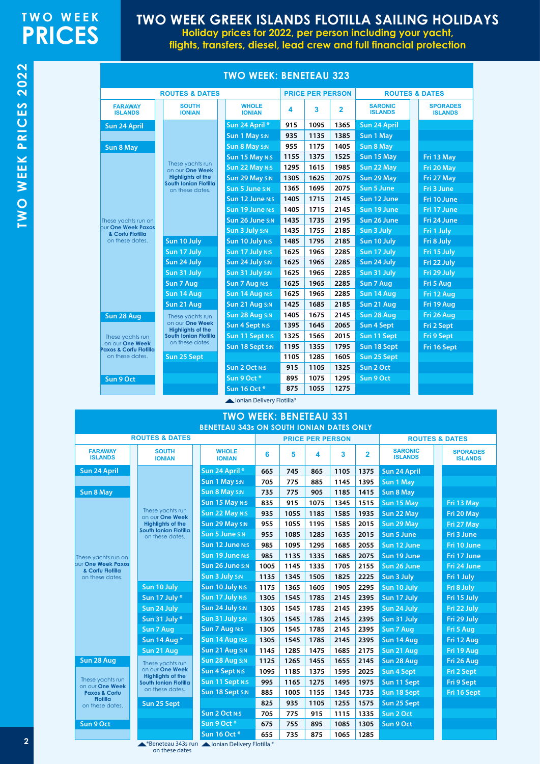## **TWO WEEK PRICES**

## **TWO WEEK GREEK ISLANDS FLOTILLA SAILING HOLIDAYS**

**Holiday prices for 2022, per person including your yacht, flights, transfers, diesel, lead crew and full financial protection**

|                                                      |                                                          | <b>TWO WEEK: BENETEAU 323</b> |      |                         |                |                                  |                                   |
|------------------------------------------------------|----------------------------------------------------------|-------------------------------|------|-------------------------|----------------|----------------------------------|-----------------------------------|
|                                                      | <b>ROUTES &amp; DATES</b>                                |                               |      | <b>PRICE PER PERSON</b> |                |                                  | <b>ROUTES &amp; DATES</b>         |
| <b>FARAWAY</b><br><b>ISLANDS</b>                     | <b>SOUTH</b><br><b>IONIAN</b>                            | <b>WHOLE</b><br><b>IONIAN</b> | 4    | 3                       | $\overline{2}$ | <b>SARONIC</b><br><b>ISLANDS</b> | <b>SPORADES</b><br><b>ISLANDS</b> |
| Sun 24 April                                         |                                                          | Sun 24 April *                | 915  | 1095                    | 1365           | <b>Sun 24 April</b>              |                                   |
|                                                      |                                                          | Sun 1 May S:N                 | 935  | 1135                    | 1385           | Sun 1 May                        |                                   |
| <b>Sun 8 May</b>                                     |                                                          | Sun 8 May S:N                 | 955  | 1175                    | 1405           | <b>Sun 8 May</b>                 |                                   |
|                                                      |                                                          | Sun 15 May N:S                | 1155 | 1375                    | 1525           | Sun 15 May                       | Fri 13 May                        |
|                                                      | These yachts run<br>on our One Week                      | Sun 22 May N:S                | 1295 | 1615                    | 1985           | Sun 22 May                       | Fri 20 May                        |
|                                                      | <b>Highlights of the</b>                                 | Sun 29 May S:N                | 1305 | 1625                    | 2075           | Sun 29 May                       | Fri 27 May                        |
|                                                      | South Ionian Flotilla<br>on these dates.                 | Sun 5 June S:N                | 1365 | 1695                    | 2075           | Sun 5 June                       | Fri 3 June                        |
|                                                      |                                                          | Sun 12 June N:S               | 1405 | 1715                    | 2145           | Sun 12 June                      | Fri 10 June                       |
|                                                      |                                                          | Sun 19 June N:S               | 1405 | 1715                    | 2145           | Sun 19 June                      | Fri 17 June                       |
| These yachts run on                                  |                                                          | Sun 26 June S:N               | 1435 | 1735                    | 2195           | Sun 26 June                      | Fri 24 June                       |
| our One Week Paxos<br>& Corfu Flotilla               |                                                          | Sun 3 July S:N                | 1435 | 1755                    | 2185           | Sun 3 July                       | Fri 1 July                        |
| on these dates.                                      | Sun 10 July                                              | Sun 10 July N:S               | 1485 | 1795                    | 2185           | Sun 10 July                      | Fri 8 July                        |
|                                                      | Sun 17 July                                              | Sun 17 July N:S               | 1625 | 1965                    | 2285           | Sun 17 July                      | Fri 15 July                       |
|                                                      | Sun 24 July                                              | Sun 24 July S:N               | 1625 | 1965                    | 2285           | Sun 24 July                      | Fri 22 July                       |
|                                                      | Sun 31 July                                              | Sun 31 July S:N               | 1625 | 1965                    | 2285           | Sun 31 July                      | Fri 29 July                       |
|                                                      | Sun 7 Aug                                                | <b>Sun 7 Aug N:S</b>          | 1625 | 1965                    | 2285           | Sun 7 Aug                        | Fri 5 Aug                         |
|                                                      | Sun 14 Aug                                               | Sun 14 Aug N:S                | 1625 | 1965                    | 2285           | Sun 14 Aug                       | Fri 12 Aug                        |
|                                                      | Sun 21 Aug                                               | Sun 21 Aug S:N                | 1425 | 1685                    | 2185           | Sun 21 Aug                       | Fri 19 Aug                        |
| Sun 28 Aug                                           | These yachts run                                         | Sun 28 Aug S:N                | 1405 | 1675                    | 2145           | Sun 28 Aug                       | Fri 26 Aug                        |
|                                                      | on our One Week                                          | <b>Sun 4 Sept N:S</b>         | 1395 | 1645                    | 2065           | <b>Sun 4 Sept</b>                | Fri 2 Sept                        |
| These yachts run                                     | <b>Highlights of the</b><br><b>South Ionian Flotilla</b> | Sun 11 Sept N:S               | 1325 | 1565                    | 2015           | Sun 11 Sept                      | Fri 9 Sept                        |
| on our One Week                                      | on these dates.                                          | Sun 18 Sept S:N               | 1195 | 1355                    | 1795           | Sun 18 Sept                      | Fri 16 Sept                       |
| <b>Paxos &amp; Corfu Flotilla</b><br>on these dates. | Sun 25 Sept                                              |                               | 1105 | 1285                    | 1605           | Sun 25 Sept                      |                                   |
|                                                      |                                                          | <b>Sun 2 Oct N:S</b>          | 915  | 1105                    | 1325           | Sun 2 Oct                        |                                   |
| Sun 9 Oct                                            |                                                          | Sun 9 Oct*                    | 895  | 1075                    | 1295           | Sun 9 Oct                        |                                   |
|                                                      |                                                          | <b>Sun 16 Oct *</b>           | 875  | 1055                    | 1275           |                                  |                                   |

Ionian Delivery Flotilla\*

#### **SPORADES ISLANDS Fri 13 May Fri 20 May Fri 27 May Fri 3 June Fri 10 June Fri 17 June Fri 24 June Fri 1 July Fri 8 July Fri 15 July Fri 22 July Fri 29 July Fri 5 Aug Fri 12 Aug Fri 19 Aug Fri 26 Aug Fri 2 Sept Fri 9 Sept Fri 16 Sept SARONIC ISLANDS Sun 24 April Sun 1 May Sun 8 May Sun 15 May Sun 22 May Sun 29 May Sun 5 June Sun 12 June Sun 19 June Sun 26 June Sun 3 July Sun 10 July Sun 17 July Sun 24 July Sun 31 July Sun 7 Aug Sun 14 Aug Sun 21 Aug Sun 28 Aug Sun 4 Sept Sun 11 Sept Sun 18 Sept Sun 25 Sept 6 5 4 3 2 665 745 865 1105 1375 705 775 885 1145 1395 735 775 905 1185 1415 835 915 1075 1345 1515 935 1055 1185 1585 1935 955 1055 1195 1585 2015 955 1085 1285 1635 2015 985 1095 1295 1685 2055 985 1135 1335 1685 2075 1005 1145 1335 1705 2155 1135 1345 1505 1825 2225 1175 1365 1605 1905 2295 1305 1545 1785 2145 2395 1305 1545 1785 2145 2395 1305 1545 1785 2145 2395 1305 1545 1785 2145 2395 1305 1545 1785 2145 2395 1145 1285 1475 1685 2175 1125 1265 1455 1655 2145 1095 1185 1375 1595 2025 995 1165 1275 1495 1975 885 1005 1155 1345 1735 825 935 1105 1255 1575 705 775 915 1115 1335 ROUTES & DATES ROUTES & DATES PRICE PER PERSON TWO WEEK: BENETEAU 331 BENETEAU 343s ON SOUTH IONIAN DATES ONLY SOUTH IONIAN Sun 10 July Sun 17 July \* Sun 24 July Sun 31 July \* Sun 7 Aug Sun 14 Aug \* Sun 21 Aug Sun 25 Sept Sun 24 April Sun 8 May Sun 28 Aug WHOLE IONIAN Sun 24 April \* Sun 1 May S:N Sun 8 May S:N Sun 15 May N:S Sun 22 May N:S Sun 29 May S:N Sun 5 June S:N Sun 12 June N:S Sun 19 June N:S Sun 26 June S:N Sun 3 July S:N Sun 10 July N:S Sun 17 July N:S Sun 24 July S:N Sun 31 July S:N Sun 7 Aug N:S Sun 14 Aug N:S Sun 21 Aug S:N Sun 28 Aug S:N Sun 4 Sept N:S Sun 11 Sept N:S Sun 18 Sept S:N Sun 2 Oct N:S FARAWAY ISLANDS** These yachts run on our **One Week Highlights of the South Ionian Flotilla**  on these dates. These yachts run on our **One Week Highlights of the South Ionian Flotilla** on these dates. se yachts run or our **One Week Paxos & Corfu Flotilla**  on these dates. These yachts run on our **One Week Paxos & Corfu Flotilla**  on these dates.

**675 755 895 1085 1305 655 735 875 1065 1285**

**Sun 2 Oct Sun 9 Oct** 

TWO WEEK PRICES 2022 **TWO WEEK PRICES 2022**

\*Beneteau 343s run **Alonian Delivery Flotilla** \* on these dates

**Sun 9 Oct Sun 16 Oct \*** 

**Sun 9 Oct**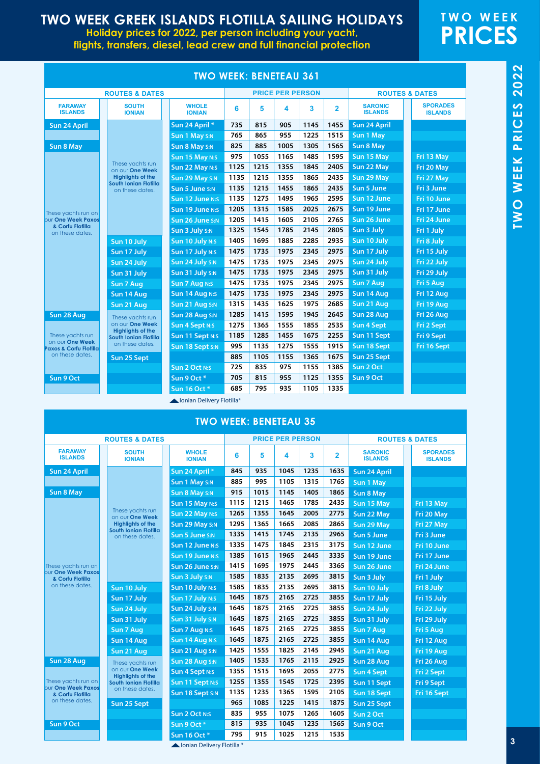**Holiday prices for 2022, per person including your yacht, flights, transfers, diesel, lead crew and full financial protection**

## **TWO WEEK PRICES**

|                                               |                                                   | TWO WEEK: BENETEAU 361           |      |      |                         |      |                |                                  |                                   |
|-----------------------------------------------|---------------------------------------------------|----------------------------------|------|------|-------------------------|------|----------------|----------------------------------|-----------------------------------|
|                                               | <b>ROUTES &amp; DATES</b>                         |                                  |      |      | <b>PRICE PER PERSON</b> |      |                |                                  | <b>ROUTES &amp; DATES</b>         |
| <b>FARAWAY</b><br><b>ISLANDS</b>              | <b>SOUTH</b><br><b>IONIAN</b>                     | <b>WHOLE</b><br><b>IONIAN</b>    | 6    | 5    | 4                       | 3    | $\overline{2}$ | <b>SARONIC</b><br><b>ISLANDS</b> | <b>SPORADES</b><br><b>ISLANDS</b> |
| Sun 24 April                                  |                                                   | Sun 24 April *                   | 735  | 815  | 905                     | 1145 | 1455           | Sun 24 April                     |                                   |
|                                               |                                                   | Sun 1 May S:N                    | 765  | 865  | 955                     | 1225 | 1515           | Sun 1 May                        |                                   |
| <b>Sun 8 May</b>                              |                                                   | Sun 8 May S:N                    | 825  | 885  | 1005                    | 1305 | 1565           | <b>Sun 8 May</b>                 |                                   |
|                                               |                                                   | Sun 15 May N:S                   | 975  | 1055 | 1165                    | 1485 | 1595           | Sun 15 May                       | Fri 13 May                        |
|                                               | These yachts run<br>on our One Week               | Sun 22 May N:S                   | 1125 | 1215 | 1355                    | 1845 | 2405           | Sun 22 May                       | Fri 20 May                        |
|                                               | <b>Highlights of the</b><br>South Ionian Flotilla | Sun 29 May S:N                   | 1135 | 1215 | 1355                    | 1865 | 2435           | Sun 29 May                       | Fri 27 May                        |
|                                               | on these dates.                                   | Sun 5 June S:N                   | 1135 | 1215 | 1455                    | 1865 | 2435           | <b>Sun 5 June</b>                | Fri 3 June                        |
| These yachts run on                           |                                                   | Sun 12 June N:S                  | 1135 | 1275 | 1495                    | 1965 | 2595           | Sun 12 June                      | Fri 10 June                       |
|                                               |                                                   | Sun 19 June N:S                  | 1205 | 1315 | 1585                    | 2025 | 2675           | Sun 19 June                      | Fri 17 June                       |
| <b>bur One Week Paxos</b><br>& Corfu Flotilla |                                                   | Sun 26 June S:N                  | 1205 | 1415 | 1605                    | 2105 | 2765           | Sun 26 June                      | Fri 24 June                       |
| on these dates.                               |                                                   | Sun 3 July S:N                   | 1325 | 1545 | 1785                    | 2145 | 2805           | Sun 3 July                       | Fri 1 July                        |
|                                               | Sun 10 July                                       | Sun 10 July N:S                  | 1405 | 1695 | 1885                    | 2285 | 2935           | Sun 10 July                      | Fri 8 July                        |
|                                               | Sun 17 July                                       | Sun 17 July N:S                  | 1475 | 1735 | 1975                    | 2345 | 2975           | Sun 17 July                      | Fri 15 July                       |
|                                               | Sun 24 July                                       | Sun 24 July S:N                  | 1475 | 1735 | 1975                    | 2345 | 2975           | Sun 24 July                      | Fri 22 July                       |
|                                               | Sun 31 July                                       | Sun 31 July S:N                  | 1475 | 1735 | 1975                    | 2345 | 2975           | Sun 31 July                      | Fri 29 July                       |
|                                               | Sun 7 Aug                                         | Sun 7 Aug N:S                    | 1475 | 1735 | 1975                    | 2345 | 2975           | Sun 7 Aug                        | Fri 5 Aug                         |
|                                               | Sun 14 Aug                                        | Sun 14 Aug N:S                   | 1475 | 1735 | 1975                    | 2345 | 2975           | Sun 14 Aug                       | Fri 12 Aug                        |
|                                               | Sun 21 Aug                                        | Sun 21 Aug S:N                   | 1315 | 1435 | 1625                    | 1975 | 2685           | Sun 21 Aug                       | Fri 19 Aug                        |
| Sun 28 Aug                                    | These yachts run                                  | Sun 28 Aug S:N                   | 1285 | 1415 | 1595                    | 1945 | 2645           | Sun 28 Aug                       | Fri 26 Aug                        |
|                                               | on our One Week<br><b>Highlights of the</b>       | <b>Sun 4 Sept N:S</b>            | 1275 | 1365 | 1555                    | 1855 | 2535           | <b>Sun 4 Sept</b>                | Fri 2 Sept                        |
| These yachts run<br>on our One Week           | South Ionian Flotilla                             | Sun 11 Sept N:S                  | 1185 | 1285 | 1455                    | 1675 | 2255           | Sun 11 Sept                      | Fri 9 Sept                        |
| <b>Paxos &amp; Corfu Flotilla</b>             | on these dates.                                   | Sun 18 Sept S:N                  | 995  | 1135 | 1275                    | 1555 | 1915           | Sun 18 Sept                      | Fri 16 Sept                       |
| on these dates.                               | Sun 25 Sept                                       |                                  | 885  | 1105 | 1155                    | 1365 | 1675           | Sun 25 Sept                      |                                   |
|                                               |                                                   | <b>Sun 2 Oct N:S</b>             | 725  | 835  | 975                     | 1155 | 1385           | Sun 2 Oct                        |                                   |
| Sun 9 Oct                                     |                                                   | Sun 9 Oct*                       | 705  | 815  | 955                     | 1125 | 1355           | Sun 9 Oct                        |                                   |
|                                               |                                                   | Sun 16 Oct *                     | 685  | 795  | 935                     | 1105 | 1335           |                                  |                                   |
|                                               |                                                   | <b>Lonian Delivery Flotillet</b> |      |      |                         |      |                |                                  |                                   |

#### **TWO WEEK: BENETEAU 361**

 $\blacktriangle$  Ionian Delivery Flotilla

|                                               | <b>ROUTES &amp; DATES</b>                       |                               |      |      | <b>PRICE PER PERSON</b> |      |                |                                  | <b>ROUTES &amp; DATES</b>         |
|-----------------------------------------------|-------------------------------------------------|-------------------------------|------|------|-------------------------|------|----------------|----------------------------------|-----------------------------------|
| <b>FARAWAY</b><br><b>ISLANDS</b>              | <b>SOUTH</b><br><b>IONIAN</b>                   | <b>WHOLE</b><br><b>IONIAN</b> | 6    | 5    | 4                       | 3    | $\overline{2}$ | <b>SARONIC</b><br><b>ISLANDS</b> | <b>SPORADES</b><br><b>ISLANDS</b> |
| Sun 24 April                                  |                                                 | Sun 24 April *                | 845  | 935  | 1045                    | 1235 | 1635           | <b>Sun 24 April</b>              |                                   |
|                                               |                                                 | Sun 1 May S:N                 | 885  | 995  | 1105                    | 1315 | 1765           | Sun 1 May                        |                                   |
| <b>Sun 8 May</b>                              |                                                 | <b>Sun 8 May S:N</b>          | 915  | 1015 | 1145                    | 1405 | 1865           | <b>Sun 8 May</b>                 |                                   |
|                                               |                                                 | Sun 15 May N:S                | 1115 | 1215 | 1465                    | 1785 | 2435           | Sun 15 May                       | Fri 13 May                        |
|                                               | These yachts run<br>on our One Week             | <b>Sun 22 May N:S</b>         | 1265 | 1355 | 1645                    | 2005 | 2775           | Sun 22 May                       | Fri 20 May                        |
|                                               | <b>Highlights of the</b>                        | Sun 29 May S:N                | 1295 | 1365 | 1665                    | 2085 | 2865           | Sun 29 May                       | Fri 27 May                        |
|                                               | <b>South Ionian Flotilla</b><br>on these dates. | Sun 5 June S:N                | 1335 | 1415 | 1745                    | 2135 | 2965           | Sun 5 June                       | Fri 3 June                        |
|                                               |                                                 | <b>Sun 12 June N:S</b>        | 1335 | 1475 | 1845                    | 2315 | 3175           | Sun 12 June                      | Fri 10 June                       |
|                                               |                                                 | Sun 19 June N:S               | 1385 | 1615 | 1965                    | 2445 | 3335           | Sun 19 June                      | Fri 17 June                       |
| These yachts run on                           |                                                 | Sun 26 June S:N               | 1415 | 1695 | 1975                    | 2445 | 3365           | Sun 26 June                      | Fri 24 June                       |
| <b>our One Week Paxos</b><br>& Corfu Flotilla |                                                 | Sun 3 July S:N                | 1585 | 1835 | 2135                    | 2695 | 3815           | Sun 3 July                       | Fri 1 July                        |
| on these dates.                               | Sun 10 July                                     | Sun 10 July N:S               | 1585 | 1835 | 2135                    | 2695 | 3815           | Sun 10 July                      | Fri 8 July                        |
|                                               | Sun 17 July                                     | Sun 17 July N:S               | 1645 | 1875 | 2165                    | 2725 | 3855           | Sun 17 July                      | Fri 15 July                       |
|                                               | Sun 24 July                                     | Sun 24 July S:N               | 1645 | 1875 | 2165                    | 2725 | 3855           | Sun 24 July                      | Fri 22 July                       |
|                                               | Sun 31 July                                     | Sun 31 July S:N               | 1645 | 1875 | 2165                    | 2725 | 3855           | Sun 31 July                      | Fri 29 July                       |
|                                               | Sun 7 Aug                                       | <b>Sun 7 Aug N:S</b>          | 1645 | 1875 | 2165                    | 2725 | 3855           | Sun 7 Aug                        | Fri 5 Aug                         |
|                                               | Sun 14 Aug                                      | <b>Sun 14 Aug N:S</b>         | 1645 | 1875 | 2165                    | 2725 | 3855           | Sun 14 Aug                       | Fri 12 Aug                        |
|                                               | Sun 21 Aug                                      | Sun 21 Aug S:N                | 1425 | 1555 | 1825                    | 2145 | 2945           | Sun 21 Aug                       | Fri 19 Aug                        |
| Sun 28 Aug                                    | These yachts run                                | Sun 28 Aug S:N                | 1405 | 1535 | 1765                    | 2115 | 2925           | Sun 28 Aug                       | Fri 26 Aug                        |
|                                               | on our One Week<br><b>Highlights of the</b>     | <b>Sun 4 Sept N:S</b>         | 1355 | 1515 | 1695                    | 2055 | 2775           | <b>Sun 4 Sept</b>                | <b>Fri 2 Sept</b>                 |
| These yachts run on                           | <b>South Ionian Flotilla</b>                    | Sun 11 Sept N:S               | 1255 | 1355 | 1545                    | 1725 | 2395           | Sun 11 Sept                      | Fri 9 Sept                        |
| bur One Week Paxos<br>& Corfu Flotilla        | on these dates.                                 | Sun 18 Sept S:N               | 1135 | 1235 | 1365                    | 1595 | 2105           | Sun 18 Sept                      | Fri 16 Sept                       |
| on these dates.                               | Sun 25 Sept                                     |                               | 965  | 1085 | 1225                    | 1415 | 1875           | Sun 25 Sept                      |                                   |
|                                               |                                                 | <b>Sun 2 Oct N:S</b>          | 835  | 955  | 1075                    | 1265 | 1605           | Sun 2 Oct                        |                                   |
| Sun 9 Oct                                     |                                                 | Sun 9 Oct*                    | 815  | 935  | 1045                    | 1235 | 1565           | Sun 9 Oct                        |                                   |
|                                               |                                                 | Sun 16 Oct *                  | 795  | 915  | 1025                    | 1215 | 1535           |                                  |                                   |

Ionian Delivery Flotilla \*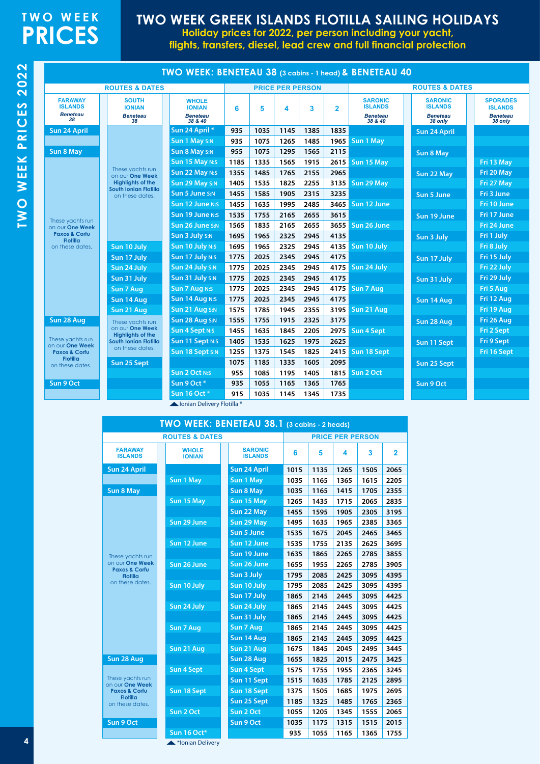## **TWO WEEK PRICES**

### **TWO WEEK GREEK ISLANDS FLOTILLA SAILING HOLIDAYS**

**Holiday prices for 2022, per person including your yacht,** 

**flights, transfers, diesel, lead crew and full financial protection**

|                                                           |                                                        | TWO WEEK: BENETEAU 38 (3 cabins - 1 head) & BENETEAU 40     |      |      |                         |      |                |                                                                |                                                                |                                                                 |
|-----------------------------------------------------------|--------------------------------------------------------|-------------------------------------------------------------|------|------|-------------------------|------|----------------|----------------------------------------------------------------|----------------------------------------------------------------|-----------------------------------------------------------------|
|                                                           | <b>ROUTES &amp; DATES</b>                              |                                                             |      |      | <b>PRICE PER PERSON</b> |      |                |                                                                | <b>ROUTES &amp; DATES</b>                                      |                                                                 |
| <b>FARAWAY</b><br><b>ISLANDS</b><br><b>Beneteau</b><br>38 | <b>SOUTH</b><br><b>IONIAN</b><br><b>Beneteau</b><br>38 | <b>WHOLE</b><br><b>IONIAN</b><br><b>Beneteau</b><br>38 & 40 | 6    | 5    | 4                       | 3    | $\overline{2}$ | <b>SARONIC</b><br><b>ISLANDS</b><br><b>Beneteau</b><br>38 & 40 | <b>SARONIC</b><br><b>ISLANDS</b><br><b>Beneteau</b><br>38 only | <b>SPORADES</b><br><b>ISLANDS</b><br><b>Beneteau</b><br>38 only |
| Sun 24 April                                              |                                                        | Sun 24 April *                                              | 935  | 1035 | 1145                    | 1385 | 1835           |                                                                | <b>Sun 24 April</b>                                            |                                                                 |
|                                                           |                                                        | Sun 1 May S:N                                               | 935  | 1075 | 1265                    | 1485 | 1965           | Sun 1 May                                                      |                                                                |                                                                 |
| <b>Sun 8 May</b>                                          |                                                        | Sun 8 May S:N                                               | 955  | 1075 | 1295                    | 1565 | 2115           |                                                                | <b>Sun 8 May</b>                                               |                                                                 |
|                                                           |                                                        | Sun 15 May N:S                                              | 1185 | 1335 | 1565                    | 1915 | 2615           | Sun 15 May                                                     |                                                                | Fri 13 May                                                      |
|                                                           | These yachts run<br>on our One Week                    | Sun 22 May N:S                                              | 1355 | 1485 | 1765                    | 2155 | 2965           |                                                                | Sun 22 May                                                     | Fri 20 May                                                      |
|                                                           | <b>Highlights of the</b><br>South Ionian Flotilla      | Sun 29 May S:N                                              | 1405 | 1535 | 1825                    | 2255 |                | 3135 Sun 29 May                                                |                                                                | Fri 27 May                                                      |
|                                                           | on these dates.                                        | Sun 5 June S:N                                              | 1455 | 1585 | 1905                    | 2315 | 3235           |                                                                | Sun 5 June                                                     | Fri 3 June                                                      |
|                                                           |                                                        | Sun 12 June N:S                                             | 1455 | 1635 | 1995                    | 2485 | 3465           | Sun 12 June                                                    |                                                                | Fri 10 June                                                     |
| These yachts run                                          |                                                        | Sun 19 June N:S                                             | 1535 | 1755 | 2165                    | 2655 | 3615           |                                                                | Sun 19 June                                                    | Fri 17 June                                                     |
| on our One Week                                           |                                                        | Sun 26 June S:N                                             | 1565 | 1835 | 2165                    | 2655 |                | 3655 Sun 26 June                                               |                                                                | Fri 24 June                                                     |
| <b>Paxos &amp; Corfu</b><br><b>Flotilla</b>               |                                                        | Sun 3 July S:N                                              | 1695 | 1965 | 2325                    | 2945 | 4135           |                                                                | Sun 3 July                                                     | Fri 1 July                                                      |
| on these dates.                                           | Sun 10 July                                            | Sun 10 July N:S                                             | 1695 | 1965 | 2325                    | 2945 | 4135           | Sun 10 July                                                    |                                                                | Fri 8 July                                                      |
|                                                           | Sun 17 July                                            | Sun 17 July N:S                                             | 1775 | 2025 | 2345                    | 2945 | 4175           |                                                                | Sun 17 July                                                    | Fri 15 July                                                     |
|                                                           | Sun 24 July                                            | Sun 24 July S:N                                             | 1775 | 2025 | 2345                    | 2945 |                | 4175 Sun 24 July                                               |                                                                | Fri 22 July                                                     |
|                                                           | Sun 31 July                                            | Sun 31 July S:N                                             | 1775 | 2025 | 2345                    | 2945 | 4175           |                                                                | Sun 31 July                                                    | Fri 29 July                                                     |
|                                                           | Sun 7 Aug                                              | <b>Sun 7 Aug N:S</b>                                        | 1775 | 2025 | 2345                    | 2945 |                | 4175 Sun 7 Aug                                                 |                                                                | Fri 5 Aug                                                       |
|                                                           | Sun 14 Aug                                             | Sun 14 Aug N:S                                              | 1775 | 2025 | 2345                    | 2945 | 4175           |                                                                | Sun 14 Aug                                                     | Fri 12 Aug                                                      |
|                                                           | Sun 21 Aug                                             | Sun 21 Aug S:N                                              | 1575 | 1785 | 1945                    | 2355 | 3195           | Sun 21 Aug                                                     |                                                                | Fri 19 Aug                                                      |
| Sun 28 Aug                                                | These yachts run<br>on our One Week                    | Sun 28 Aug S:N                                              | 1555 | 1755 | 1915                    | 2325 | 3175           |                                                                | Sun 28 Aug                                                     | Fri 26 Aug                                                      |
| These yachts run                                          | <b>Highlights of the</b>                               | <b>Sun 4 Sept N:S</b>                                       | 1455 | 1635 | 1845                    | 2205 |                | 2975 Sun 4 Sept                                                |                                                                | Fri 2 Sept                                                      |
| on our One Week                                           | <b>South Ionian Flotilla</b><br>on these dates.        | Sun 11 Sept N:S                                             | 1405 | 1535 | 1625                    | 1975 | 2625           |                                                                | Sun 11 Sept                                                    | Fri 9 Sept                                                      |
| <b>Paxos &amp; Corfu</b><br><b>Flotilla</b>               |                                                        | Sun 18 Sept S:N                                             | 1255 | 1375 | 1545                    | 1825 | 2415           | Sun 18 Sept                                                    |                                                                | Fri 16 Sept                                                     |
| on these dates.                                           | Sun 25 Sept                                            |                                                             | 1075 | 1185 | 1335                    | 1605 | 2095           |                                                                | Sun 25 Sept                                                    |                                                                 |
|                                                           |                                                        | <b>Sun 2 Oct N:S</b>                                        | 955  | 1085 | 1195                    | 1405 | 1815           | Sun 2 Oct                                                      |                                                                |                                                                 |
| Sun 9 Oct                                                 |                                                        | Sun 9 Oct*                                                  | 935  | 1055 | 1165                    | 1365 | 1765           |                                                                | Sun 9 Oct                                                      |                                                                 |
|                                                           |                                                        | Sun 16 Oct *                                                | 915  | 1035 | 1145                    | 1345 | 1735           |                                                                |                                                                |                                                                 |

Ionian Delivery Flotilla \*

|                                             | TWO WEEK: BENETEAU 38.1 (3 cabins - 2 heads) |                                  |                         |      |      |      |                |  |  |
|---------------------------------------------|----------------------------------------------|----------------------------------|-------------------------|------|------|------|----------------|--|--|
|                                             | <b>ROUTES &amp; DATES</b>                    |                                  | <b>PRICE PER PERSON</b> |      |      |      |                |  |  |
| <b>FARAWAY</b><br><b>ISLANDS</b>            | <b>WHOLE</b><br><b>IONIAN</b>                | <b>SARONIC</b><br><b>ISLANDS</b> | 6                       | 5    | 4    | 3    | $\overline{2}$ |  |  |
| <b>Sun 24 April</b>                         |                                              | Sun 24 April                     | 1015                    | 1135 | 1265 | 1505 | 2065           |  |  |
|                                             | Sun 1 May                                    | Sun 1 May                        | 1035                    | 1165 | 1365 | 1615 | 2205           |  |  |
| <b>Sun 8 May</b>                            |                                              | <b>Sun 8 May</b>                 | 1035                    | 1165 | 1415 | 1705 | 2355           |  |  |
|                                             | Sun 15 May                                   | Sun 15 May                       | 1265                    | 1435 | 1715 | 2065 | 2835           |  |  |
|                                             |                                              | Sun 22 May                       | 1455                    | 1595 | 1905 | 2305 | 3195           |  |  |
|                                             | Sun 29 June                                  | Sun 29 May                       | 1495                    | 1635 | 1965 | 2385 | 3365           |  |  |
|                                             |                                              | <b>Sun 5 June</b>                | 1535                    | 1675 | 2045 | 2465 | 3465           |  |  |
|                                             | Sun 12 June                                  | Sun 12 June                      | 1535                    | 1755 | 2135 | 2625 | 3695           |  |  |
| These yachts run                            |                                              | Sun 19 June                      | 1635                    | 1865 | 2265 | 2785 | 3855           |  |  |
| on our One Week<br><b>Paxos &amp; Corfu</b> | Sun 26 June                                  | Sun 26 June                      | 1655                    | 1955 | 2265 | 2785 | 3905           |  |  |
| <b>Flotilla</b>                             |                                              | Sun 3 July                       | 1795                    | 2085 | 2425 | 3095 | 4395           |  |  |
| on these dates.                             | Sun 10 July                                  | Sun 10 July                      | 1795                    | 2085 | 2425 | 3095 | 4395           |  |  |
|                                             |                                              | Sun 17 July                      | 1865                    | 2145 | 2445 | 3095 | 4425           |  |  |
|                                             | Sun 24 July                                  | Sun 24 July                      | 1865                    | 2145 | 2445 | 3095 | 4425           |  |  |
|                                             |                                              | Sun 31 July                      | 1865                    | 2145 | 2445 | 3095 | 4425           |  |  |
|                                             | Sun 7 Aug                                    | Sun 7 Aug                        | 1865                    | 2145 | 2445 | 3095 | 4425           |  |  |
|                                             |                                              | Sun 14 Aug                       | 1865                    | 2145 | 2445 | 3095 | 4425           |  |  |
|                                             | Sun 21 Aug                                   | Sun 21 Aug                       | 1675                    | 1845 | 2045 | 2495 | 3445           |  |  |
| Sun 28 Aug                                  |                                              | Sun 28 Aug                       | 1655                    | 1825 | 2015 | 2475 | 3425           |  |  |
|                                             | <b>Sun 4 Sept</b>                            | Sun 4 Sept                       | 1575                    | 1755 | 1955 | 2365 | 3245           |  |  |
| These yachts run<br>on our One Week         |                                              | Sun 11 Sept                      | 1515                    | 1635 | 1785 | 2125 | 2895           |  |  |
| <b>Paxos &amp; Corfu</b>                    | Sun 18 Sept                                  | Sun 18 Sept                      | 1375                    | 1505 | 1685 | 1975 | 2695           |  |  |
| <b>Flotilla</b><br>on these dates.          |                                              | Sun 25 Sept                      | 1185                    | 1325 | 1485 | 1765 | 2365           |  |  |
|                                             | Sun 2 Oct                                    | Sun 2 Oct                        | 1055                    | 1205 | 1345 | 1555 | 2065           |  |  |
| Sun 9 Oct                                   |                                              | Sun 9 Oct                        | 1035                    | 1175 | 1315 | 1515 | 2015           |  |  |
|                                             | <b>Sun 16 Oct*</b>                           |                                  | 935                     | 1055 | 1165 | 1365 | 1755           |  |  |

**4** \*Ionian Delivery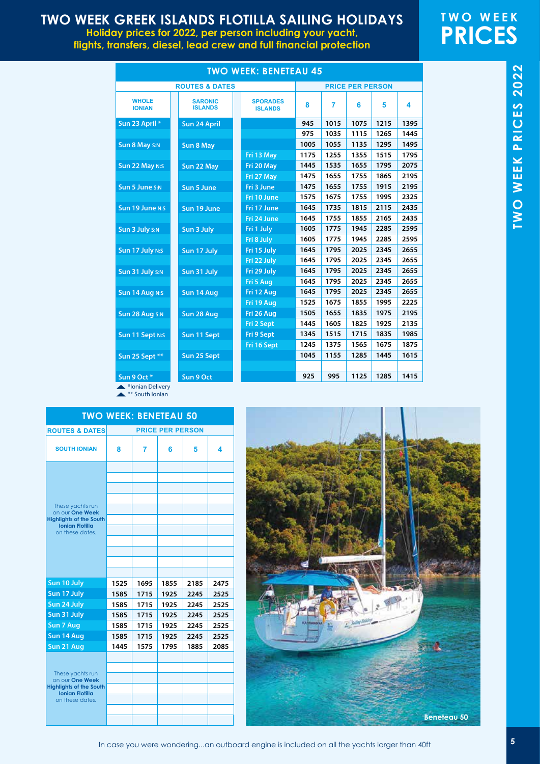**Holiday prices for 2022, per person including your yacht, flights, transfers, diesel, lead crew and full financial protection**

## **TWO WEEK PRICES**

|                                |                                  | <b>TWO WEEK: BENETEAU 45</b>      |      |      |                         |      |      |
|--------------------------------|----------------------------------|-----------------------------------|------|------|-------------------------|------|------|
|                                | <b>ROUTES &amp; DATES</b>        |                                   |      |      | <b>PRICE PER PERSON</b> |      |      |
| <b>WHOLE</b><br><b>IONIAN</b>  | <b>SARONIC</b><br><b>ISLANDS</b> | <b>SPORADES</b><br><b>ISLANDS</b> | 8    | 7    | 6                       | 5    | 4    |
| Sun 23 April *                 | Sun 24 April                     |                                   | 945  | 1015 | 1075                    | 1215 | 1395 |
|                                |                                  |                                   | 975  | 1035 | 1115                    | 1265 | 1445 |
| Sun 8 May S:N                  | <b>Sun 8 May</b>                 |                                   | 1005 | 1055 | 1135                    | 1295 | 1495 |
|                                |                                  | Fri 13 May                        | 1175 | 1255 | 1355                    | 1515 | 1795 |
| Sun 22 May N:S                 | Sun 22 May                       | Fri 20 May                        | 1445 | 1535 | 1655                    | 1795 | 2075 |
|                                |                                  | Fri 27 May                        | 1475 | 1655 | 1755                    | 1865 | 2195 |
| Sun 5 June S:N                 | <b>Sun 5 June</b>                | Fri 3 June                        | 1475 | 1655 | 1755                    | 1915 | 2195 |
|                                |                                  | Fri 10 June                       | 1575 | 1675 | 1755                    | 1995 | 2325 |
| Sun 19 June N:S                | Sun 19 June                      | Fri 17 June                       | 1645 | 1735 | 1815                    | 2115 | 2435 |
|                                |                                  | Fri 24 June                       | 1645 | 1755 | 1855                    | 2165 | 2435 |
| Sun 3 July S:N                 | Sun 3 July                       | Fri 1 July                        | 1605 | 1775 | 1945                    | 2285 | 2595 |
|                                |                                  | Fri 8 July                        | 1605 | 1775 | 1945                    | 2285 | 2595 |
| Sun 17 July N:S                | Sun 17 July                      | Fri 15 July                       | 1645 | 1795 | 2025                    | 2345 | 2655 |
|                                |                                  | Fri 22 July                       | 1645 | 1795 | 2025                    | 2345 | 2655 |
| Sun 31 July S:N                | Sun 31 July                      | Fri 29 July                       | 1645 | 1795 | 2025                    | 2345 | 2655 |
|                                |                                  | Fri 5 Aug                         | 1645 | 1795 | 2025                    | 2345 | 2655 |
| Sun 14 Aug N:S                 | Sun 14 Aug                       | Fri 12 Aug                        | 1645 | 1795 | 2025                    | 2345 | 2655 |
|                                |                                  | Fri 19 Aug                        | 1525 | 1675 | 1855                    | 1995 | 2225 |
| Sun 28 Aug S:N                 | Sun 28 Aug                       | Fri 26 Aug                        | 1505 | 1655 | 1835                    | 1975 | 2195 |
|                                |                                  | Fri 2 Sept                        | 1445 | 1605 | 1825                    | 1925 | 2135 |
| Sun 11 Sept N:S                | Sun 11 Sept                      | Fri 9 Sept                        | 1345 | 1515 | 1715                    | 1835 | 1985 |
|                                |                                  | Fri 16 Sept                       | 1245 | 1375 | 1565                    | 1675 | 1875 |
| Sun 25 Sept **                 | Sun 25 Sept                      |                                   | 1045 | 1155 | 1285                    | 1445 | 1615 |
|                                |                                  |                                   |      |      |                         |      |      |
| Sun 9 Oct*<br><b>March 200</b> | Sun 9 Oct                        |                                   | 925  | 995  | 1125                    | 1285 | 1415 |

\*Ionian Delivery **A** \*\* South Ionian

|                                                                                                                    | <b>TWO WEEK: BENETEAU 50</b> |      |                         |      |      |
|--------------------------------------------------------------------------------------------------------------------|------------------------------|------|-------------------------|------|------|
| <b>ROUTES &amp; DATES</b>                                                                                          |                              |      | <b>PRICE PER PERSON</b> |      |      |
| <b>SOUTH IONIAN</b>                                                                                                | 8                            | 7    | 6                       | 5    | 4    |
| These yachts run<br>on our One Week<br><b>Highlights of the South</b><br><b>Ionian Flotilla</b><br>on these dates. |                              |      |                         |      |      |
| Sun 10 July                                                                                                        | 1525                         | 1695 | 1855                    | 2185 | 2475 |
| Sun 17 July                                                                                                        | 1585                         | 1715 | 1925                    | 2245 | 2525 |
| Sun 24 July                                                                                                        | 1585                         | 1715 | 1925                    | 2245 | 2525 |
| Sun 31 July                                                                                                        | 1585                         | 1715 | 1925                    | 2245 | 2525 |
| <b>Sun 7 Aug</b>                                                                                                   | 1585                         | 1715 | 1925                    | 2245 | 2525 |
| Sun 14 Aug                                                                                                         | 1585                         | 1715 | 1925                    | 2245 | 2525 |
| Sun 21 Aug                                                                                                         | 1445                         | 1575 | 1795                    | 1885 | 2085 |
| These yachts run<br>on our One Week<br><b>Highlights of the South</b><br><b>Ionian Flotilla</b><br>on these dates. |                              |      |                         |      |      |

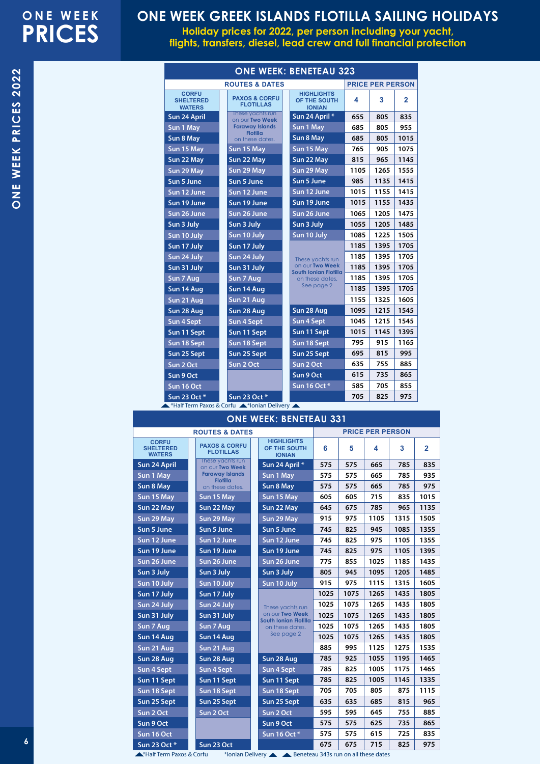**Holiday prices for 2022, per person including your yacht, flights, transfers, diesel, lead crew and full financial protection**

|                                                   |                                              | <b>ONE WEEK: BENETEAU 323</b>                      |      |                         |                |
|---------------------------------------------------|----------------------------------------------|----------------------------------------------------|------|-------------------------|----------------|
|                                                   | <b>ROUTES &amp; DATES</b>                    |                                                    |      | <b>PRICE PER PERSON</b> |                |
| <b>CORFU</b><br><b>SHELTERED</b><br><b>WATERS</b> | <b>PAXOS &amp; CORFU</b><br><b>FLOTILLAS</b> | <b>HIGHLIGHTS</b><br>OF THE SOUTH<br><b>IONIAN</b> | 4    | 3                       | $\overline{2}$ |
| Sun 24 April                                      | These vachts run<br>on our Two Week          | Sun 24 April *                                     | 655  | 805                     | 835            |
| Sun 1 May                                         | <b>Faraway Islands</b><br><b>Flotilla</b>    | Sun 1 May                                          | 685  | 805                     | 955            |
| Sun 8 May                                         | on these dates.                              | Sun 8 May                                          | 685  | 805                     | 1015           |
| Sun 15 May                                        | Sun 15 May                                   | Sun 15 May                                         | 765  | 905                     | 1075           |
| Sun 22 May                                        | Sun 22 May                                   | Sun 22 May                                         | 815  | 965                     | 1145           |
| Sun 29 May                                        | Sun 29 May                                   | Sun 29 May                                         | 1105 | 1265                    | 1555           |
| Sun 5 June                                        | Sun 5 June                                   | Sun 5 June                                         | 985  | 1135                    | 1415           |
| Sun 12 June                                       | Sun 12 June                                  | Sun 12 June                                        | 1015 | 1155                    | 1415           |
| Sun 19 June                                       | Sun 19 June                                  | Sun 19 June                                        | 1015 | 1155                    | 1435           |
| Sun 26 June                                       | Sun 26 June                                  | Sun 26 June                                        | 1065 | 1205                    | 1475           |
| Sun 3 July                                        | Sun 3 July                                   | Sun 3 July                                         | 1055 | 1205                    | 1485           |
| Sun 10 July                                       | Sun 10 July                                  | Sun 10 July                                        | 1085 | 1225                    | 1505           |
| Sun 17 July                                       | Sun 17 July                                  |                                                    | 1185 | 1395                    | 1705           |
| Sun 24 July                                       | Sun 24 July                                  | These yachts run                                   | 1185 | 1395                    | 1705           |
| Sun 31 July                                       | Sun 31 July                                  | on our Two Week<br>South Ionian Flotilla           | 1185 | 1395                    | 1705           |
| Sun 7 Aug                                         | Sun 7 Aug                                    | on these dates.                                    | 1185 | 1395                    | 1705           |
| Sun 14 Aug                                        | Sun 14 Aug                                   | See page 2                                         | 1185 | 1395                    | 1705           |
| Sun 21 Aug                                        | Sun 21 Aug                                   |                                                    | 1155 | 1325                    | 1605           |
| Sun 28 Aug                                        | Sun 28 Aug                                   | Sun 28 Aug                                         | 1095 | 1215                    | 1545           |
| Sun 4 Sept                                        | Sun 4 Sept                                   | <b>Sun 4 Sept</b>                                  | 1045 | 1215                    | 1545           |
| Sun 11 Sept                                       | Sun 11 Sept                                  | Sun 11 Sept                                        | 1015 | 1145                    | 1395           |
| Sun 18 Sept                                       | Sun 18 Sept                                  | Sun 18 Sept                                        | 795  | 915                     | 1165           |
| Sun 25 Sept                                       | Sun 25 Sept                                  | Sun 25 Sept                                        | 695  | 815                     | 995            |
| Sun 2 Oct                                         | Sun 2 Oct                                    | Sun 2 Oct                                          | 635  | 755                     | 885            |
| Sun 9 Oct                                         |                                              | Sun 9 Oct                                          | 615  | 735                     | 865            |
| Sun 16 Oct                                        |                                              | Sun 16 Oct *                                       | 585  | 705                     | 855            |
| Sun 23 Oct *                                      | Sun 23 Oct *                                 |                                                    | 705  | 825                     | 975            |

\*Half Term Paxos & Corfu \*Ionian Delivery

|                                                   |                                              | <b>ONE WEEK: BENETEAU 331</b>                      |      |      |                         |      |                |
|---------------------------------------------------|----------------------------------------------|----------------------------------------------------|------|------|-------------------------|------|----------------|
|                                                   | <b>ROUTES &amp; DATES</b>                    |                                                    |      |      | <b>PRICE PER PERSON</b> |      |                |
| <b>CORFU</b><br><b>SHELTERED</b><br><b>WATERS</b> | <b>PAXOS &amp; CORFU</b><br><b>FLOTILLAS</b> | <b>HIGHLIGHTS</b><br>OF THE SOUTH<br><b>IONIAN</b> | 6    | 5    | 4                       | 3    | $\overline{2}$ |
| Sun 24 April                                      | These yachts run<br>on our Two Week          | Sun 24 April *                                     | 575  | 575  | 665                     | 785  | 835            |
| Sun 1 May                                         | <b>Faraway Islands</b><br><b>Flotilla</b>    | Sun 1 May                                          | 575  | 575  | 665                     | 785  | 935            |
| Sun 8 May                                         | on these dates.                              | Sun 8 May                                          | 575  | 575  | 665                     | 785  | 975            |
| Sun 15 May                                        | Sun 15 May                                   | Sun 15 May                                         | 605  | 605  | 715                     | 835  | 1015           |
| Sun 22 May                                        | Sun 22 May                                   | Sun 22 May                                         | 645  | 675  | 785                     | 965  | 1135           |
| Sun 29 May                                        | Sun 29 May                                   | Sun 29 May                                         | 915  | 975  | 1105                    | 1315 | 1505           |
| Sun 5 June                                        | Sun 5 June                                   | Sun 5 June                                         | 745  | 825  | 945                     | 1085 | 1355           |
| Sun 12 June                                       | Sun 12 June                                  | Sun 12 June                                        | 745  | 825  | 975                     | 1105 | 1355           |
| Sun 19 June                                       | Sun 19 June                                  | Sun 19 June                                        | 745  | 825  | 975                     | 1105 | 1395           |
| Sun 26 June                                       | Sun 26 June                                  | Sun 26 June                                        | 775  | 855  | 1025                    | 1185 | 1435           |
| Sun 3 July                                        | Sun 3 July                                   | Sun 3 July                                         | 805  | 945  | 1095                    | 1205 | 1485           |
| Sun 10 July                                       | Sun 10 July                                  | Sun 10 July                                        | 915  | 975  | 1115                    | 1315 | 1605           |
| Sun 17 July                                       | Sun 17 July                                  |                                                    | 1025 | 1075 | 1265                    | 1435 | 1805           |
| Sun 24 July                                       | Sun 24 July                                  | These yachts run                                   | 1025 | 1075 | 1265                    | 1435 | 1805           |
| Sun 31 July                                       | Sun 31 July                                  | on our Two Week<br>South Ionian Flotilla           | 1025 | 1075 | 1265                    | 1435 | 1805           |
| Sun 7 Aug                                         | Sun 7 Aug                                    | on these dates.                                    | 1025 | 1075 | 1265                    | 1435 | 1805           |
| Sun 14 Aug                                        | Sun 14 Aug                                   | See page 2                                         | 1025 | 1075 | 1265                    | 1435 | 1805           |
| Sun 21 Aug                                        | Sun 21 Aug                                   |                                                    | 885  | 995  | 1125                    | 1275 | 1535           |
| Sun 28 Aug                                        | Sun 28 Aug                                   | Sun 28 Aug                                         | 785  | 925  | 1055                    | 1195 | 1465           |
| Sun 4 Sept                                        | Sun 4 Sept                                   | Sun 4 Sept                                         | 785  | 825  | 1005                    | 1175 | 1465           |
| Sun 11 Sept                                       | Sun 11 Sept                                  | Sun 11 Sept                                        | 785  | 825  | 1005                    | 1145 | 1335           |
| Sun 18 Sept                                       | Sun 18 Sept                                  | Sun 18 Sept                                        | 705  | 705  | 805                     | 875  | 1115           |
| Sun 25 Sept                                       | Sun 25 Sept                                  | Sun 25 Sept                                        | 635  | 635  | 685                     | 815  | 965            |
| Sun 2 Oct                                         | Sun 2 Oct                                    | Sun 2 Oct                                          | 595  | 595  | 645                     | 755  | 885            |
| Sun 9 Oct                                         |                                              | Sun 9 Oct                                          | 575  | 575  | 625                     | 735  | 865            |
| Sun 16 Oct                                        |                                              | Sun 16 Oct *                                       | 575  | 575  | 615                     | 725  | 835            |

\*Half Term Paxos & Corfu **Sun 23 Oct \* Sun 23 Oct**

\*Ionian Delivery Beneteau 343s run on all these dates

**675 675 715 825 975**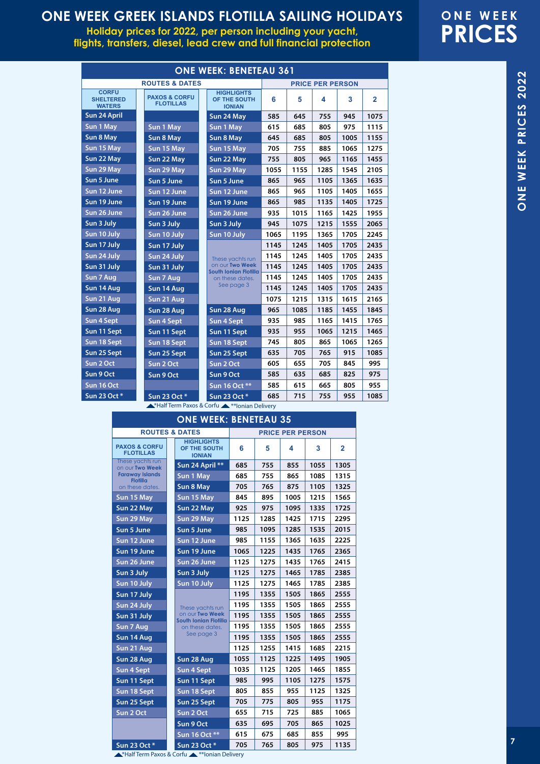**Holiday prices for 2022, per person including your yacht, flights, transfers, diesel, lead crew and full financial protection**

## **ONE WEEK PRICES**

ONE WEEK PRICES 2022

**ONE WEEK PRICES 2022**

ONE WEEK PRICES 2022

| <b>ONE WEEK: BENETEAU 361</b>                     |                                              |  |                                                    |                         |      |      |      |                |  |  |  |
|---------------------------------------------------|----------------------------------------------|--|----------------------------------------------------|-------------------------|------|------|------|----------------|--|--|--|
|                                                   | <b>ROUTES &amp; DATES</b>                    |  |                                                    | <b>PRICE PER PERSON</b> |      |      |      |                |  |  |  |
| <b>CORFU</b><br><b>SHELTERED</b><br><b>WATERS</b> | <b>PAXOS &amp; CORFU</b><br><b>FLOTILLAS</b> |  | <b>HIGHLIGHTS</b><br>OF THE SOUTH<br><b>IONIAN</b> | 6                       | 5    | 4    | 3    | $\overline{2}$ |  |  |  |
| Sun 24 April                                      |                                              |  | Sun 24 May                                         | 585                     | 645  | 755  | 945  | 1075           |  |  |  |
| Sun 1 May                                         | Sun 1 May                                    |  | Sun 1 May                                          | 615                     | 685  | 805  | 975  | 1115           |  |  |  |
| Sun 8 May                                         | Sun 8 May                                    |  | Sun 8 May                                          | 645                     | 685  | 805  | 1005 | 1155           |  |  |  |
| Sun 15 May                                        | Sun 15 May                                   |  | Sun 15 May                                         | 705                     | 755  | 885  | 1065 | 1275           |  |  |  |
| Sun 22 May                                        | Sun 22 May                                   |  | Sun 22 May                                         | 755                     | 805  | 965  | 1165 | 1455           |  |  |  |
| Sun 29 May                                        | Sun 29 May                                   |  | Sun 29 May                                         | 1055                    | 1155 | 1285 | 1545 | 2105           |  |  |  |
| Sun 5 June                                        | Sun 5 June                                   |  | Sun 5 June                                         | 865                     | 965  | 1105 | 1365 | 1635           |  |  |  |
| Sun 12 June                                       | Sun 12 June                                  |  | Sun 12 June                                        | 865                     | 965  | 1105 | 1405 | 1655           |  |  |  |
| Sun 19 June                                       | Sun 19 June                                  |  | Sun 19 June                                        | 865                     | 985  | 1135 | 1405 | 1725           |  |  |  |
| Sun 26 June                                       | Sun 26 June                                  |  | Sun 26 June                                        | 935                     | 1015 | 1165 | 1425 | 1955           |  |  |  |
| Sun 3 July                                        | Sun 3 July                                   |  | Sun 3 July                                         | 945                     | 1075 | 1215 | 1555 | 2065           |  |  |  |
| Sun 10 July                                       | Sun 10 July                                  |  | Sun 10 July                                        | 1065                    | 1195 | 1365 | 1705 | 2245           |  |  |  |
| Sun 17 July                                       | Sun 17 July                                  |  |                                                    | 1145                    | 1245 | 1405 | 1705 | 2435           |  |  |  |
| Sun 24 July                                       | Sun 24 July                                  |  | These yachts run                                   | 1145                    | 1245 | 1405 | 1705 | 2435           |  |  |  |
| Sun 31 July                                       | Sun 31 July                                  |  | on our Two Week<br>South Ionian Flotilla           | 1145                    | 1245 | 1405 | 1705 | 2435           |  |  |  |
| Sun 7 Aug                                         | Sun 7 Aug                                    |  | on these dates.                                    | 1145                    | 1245 | 1405 | 1705 | 2435           |  |  |  |
| Sun 14 Aug                                        | Sun 14 Aug                                   |  | See page 3                                         | 1145                    | 1245 | 1405 | 1705 | 2435           |  |  |  |
| Sun 21 Aug                                        | Sun 21 Aug                                   |  |                                                    | 1075                    | 1215 | 1315 | 1615 | 2165           |  |  |  |
| Sun 28 Aug                                        | Sun 28 Aug                                   |  | Sun 28 Aug                                         | 965                     | 1085 | 1185 | 1455 | 1845           |  |  |  |
| Sun 4 Sept                                        | Sun 4 Sept                                   |  | Sun 4 Sept                                         | 935                     | 985  | 1165 | 1415 | 1765           |  |  |  |
| Sun 11 Sept                                       | Sun 11 Sept                                  |  | Sun 11 Sept                                        | 935                     | 955  | 1065 | 1215 | 1465           |  |  |  |
| Sun 18 Sept                                       | Sun 18 Sept                                  |  | Sun 18 Sept                                        | 745                     | 805  | 865  | 1065 | 1265           |  |  |  |
| Sun 25 Sept                                       | Sun 25 Sept                                  |  | Sun 25 Sept                                        | 635                     | 705  | 765  | 915  | 1085           |  |  |  |
| Sun 2 Oct                                         | Sun 2 Oct                                    |  | Sun 2 Oct                                          | 605                     | 655  | 705  | 845  | 995            |  |  |  |
| Sun 9 Oct                                         | Sun 9 Oct                                    |  | Sun 9 Oct                                          | 585                     | 635  | 685  | 825  | 975            |  |  |  |
| Sun 16 Oct                                        |                                              |  | Sun 16 Oct **                                      | 585                     | 615  | 665  | 805  | 955            |  |  |  |
| Sun 23 Oct *                                      | Sun 23 Oct *                                 |  | Sun 23 Oct *                                       | 685                     | 715  | 755  | 955  | 1085           |  |  |  |

\*Half Term Paxos & Corfu \*\*Ionian Delivery

| <b>ONE WEEK: BENETEAU 35</b>                 |                                                    |                         |      |      |      |                |  |  |
|----------------------------------------------|----------------------------------------------------|-------------------------|------|------|------|----------------|--|--|
| <b>ROUTES &amp; DATES</b>                    |                                                    | <b>PRICE PER PERSON</b> |      |      |      |                |  |  |
| <b>PAXOS &amp; CORFU</b><br><b>FLOTILLAS</b> | <b>HIGHLIGHTS</b><br>OF THE SOUTH<br><b>IONIAN</b> | 6                       | 5    | 4    | 3    | $\overline{2}$ |  |  |
| These yachts run<br>on our Two Week          | Sun 24 April **                                    | 685                     | 755  | 855  | 1055 | 1305           |  |  |
| <b>Faraway Islands</b><br><b>Flotilla</b>    | Sun 1 May                                          | 685                     | 755  | 865  | 1085 | 1315           |  |  |
| on these dates.                              | Sun 8 May                                          | 705                     | 765  | 875  | 1105 | 1325           |  |  |
| Sun 15 May                                   | Sun 15 May                                         | 845                     | 895  | 1005 | 1215 | 1565           |  |  |
| Sun 22 May                                   | Sun 22 May                                         | 925                     | 975  | 1095 | 1335 | 1725           |  |  |
| Sun 29 May                                   | Sun 29 May                                         | 1125                    | 1285 | 1425 | 1715 | 2295           |  |  |
| Sun 5 June                                   | Sun 5 June                                         | 985                     | 1095 | 1285 | 1535 | 2015           |  |  |
| Sun 12 June                                  | Sun 12 June                                        | 985                     | 1155 | 1365 | 1635 | 2225           |  |  |
| Sun 19 June                                  | Sun 19 June                                        | 1065                    | 1225 | 1435 | 1765 | 2365           |  |  |
| Sun 26 June                                  | Sun 26 June                                        | 1125                    | 1275 | 1435 | 1765 | 2415           |  |  |
| Sun 3 July                                   | Sun 3 July                                         | 1125                    | 1275 | 1465 | 1785 | 2385           |  |  |
| Sun 10 July                                  | Sun 10 July                                        | 1125                    | 1275 | 1465 | 1785 | 2385           |  |  |
| Sun 17 July                                  |                                                    | 1195                    | 1355 | 1505 | 1865 | 2555           |  |  |
| Sun 24 July                                  | These yachts run                                   | 1195                    | 1355 | 1505 | 1865 | 2555           |  |  |
| Sun 31 July                                  | on our Two Week<br>South Ionian Flotilla           | 1195                    | 1355 | 1505 | 1865 | 2555           |  |  |
| Sun 7 Aug                                    | on these dates.                                    | 1195                    | 1355 | 1505 | 1865 | 2555           |  |  |
| Sun 14 Aug                                   | See page 3                                         | 1195                    | 1355 | 1505 | 1865 | 2555           |  |  |
| Sun 21 Aug                                   |                                                    | 1125                    | 1255 | 1415 | 1685 | 2215           |  |  |
| Sun 28 Aug                                   | Sun 28 Aug                                         | 1055                    | 1125 | 1225 | 1495 | 1905           |  |  |
| <b>Sun 4 Sept</b>                            | <b>Sun 4 Sept</b>                                  | 1035                    | 1125 | 1205 | 1465 | 1855           |  |  |
| Sun 11 Sept                                  | Sun 11 Sept                                        | 985                     | 995  | 1105 | 1275 | 1575           |  |  |
| Sun 18 Sept                                  | Sun 18 Sept                                        | 805                     | 855  | 955  | 1125 | 1325           |  |  |
| Sun 25 Sept                                  | Sun 25 Sept                                        | 705                     | 775  | 805  | 955  | 1175           |  |  |
| Sun 2 Oct                                    | Sun 2 Oct                                          | 655                     | 715  | 725  | 885  | 1065           |  |  |
|                                              | Sun 9 Oct                                          | 635                     | 695  | 705  | 865  | 1025           |  |  |
|                                              | Sun 16 Oct **                                      | 615                     | 675  | 685  | 855  | 995            |  |  |
| Sun 23 Oct *                                 | Sun 23 Oct *                                       | 705                     | 765  | 805  | 975  | 1135           |  |  |

\*Half Term Paxos & Corfu \*\*Ionian Delivery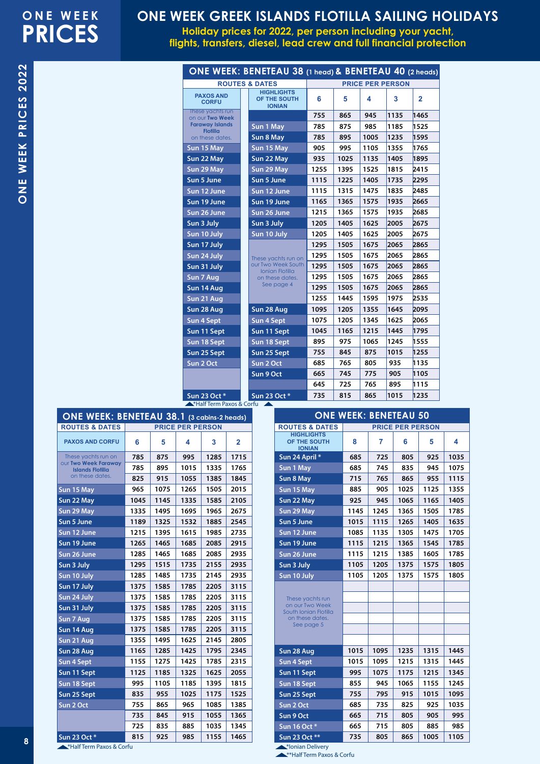**Holiday prices for 2022, per person including your yacht, flights, transfers, diesel, lead crew and full financial protection**

| Ì                    |
|----------------------|
| nno.                 |
|                      |
|                      |
| PRICES               |
|                      |
|                      |
|                      |
|                      |
|                      |
|                      |
| WEEK                 |
|                      |
|                      |
|                      |
| ロニム<br>$\frac{1}{2}$ |
|                      |
| J                    |

 $\overline{\mathbf{N}}$ 

|                                      |  | ONE WEEK: BENETEAU 38 (1 head) & BENETEAU 40 (2 heads) |                         |      |      |      |                |
|--------------------------------------|--|--------------------------------------------------------|-------------------------|------|------|------|----------------|
| <b>ROUTES &amp; DATES</b>            |  |                                                        | <b>PRICE PER PERSON</b> |      |      |      |                |
| <b>PAXOS AND</b><br><b>CORFU</b>     |  | <b>HIGHLIGHTS</b><br>OF THE SOUTH<br><b>IONIAN</b>     | 6                       | 5    | 4    | 3    | $\overline{2}$ |
| These yachts run<br>on our Two Week  |  |                                                        | 755                     | 865  | 945  | 1135 | 1465           |
| <b>Faraway Islands</b>               |  | Sun 1 May                                              | 785                     | 875  | 985  | 1185 | 1525           |
| <b>Flotilla</b><br>on these dates.   |  | Sun 8 May                                              | 785                     | 895  | 1005 | 1235 | 1595           |
| Sun 15 May                           |  | Sun 15 May                                             | 905                     | 995  | 1105 | 1355 | 1765           |
| Sun 22 May                           |  | Sun 22 May                                             | 935                     | 1025 | 1135 | 1405 | 1895           |
| Sun 29 May                           |  | Sun 29 May                                             | 1255                    | 1395 | 1525 | 1815 | 2415           |
| Sun 5 June                           |  | Sun 5 June                                             | 1115                    | 1225 | 1405 | 1735 | 2295           |
| Sun 12 June                          |  | Sun 12 June                                            | 1115                    | 1315 | 1475 | 1835 | 2485           |
| Sun 19 June                          |  | Sun 19 June                                            | 1165                    | 1365 | 1575 | 1935 | 2665           |
| Sun 26 June                          |  | Sun 26 June                                            | 1215                    | 1365 | 1575 | 1935 | 2685           |
| Sun 3 July                           |  | Sun 3 July                                             | 1205                    | 1405 | 1625 | 2005 | 2675           |
| Sun 10 July                          |  | Sun 10 July                                            | 1205                    | 1405 | 1625 | 2005 | 2675           |
| Sun 17 July                          |  | These yachts run on                                    | 1295                    | 1505 | 1675 | 2065 | 2865           |
| Sun 24 July                          |  |                                                        | 1295                    | 1505 | 1675 | 2065 | 2865           |
| Sun 31 July                          |  | our Two Week South                                     | 1295                    | 1505 | 1675 | 2065 | 2865           |
| Sun 7 Aug                            |  | <b>Ionian Flotilla</b><br>on these dates.              | 1295                    | 1505 | 1675 | 2065 | 2865           |
| Sun 14 Aug                           |  | See page 4                                             | 1295                    | 1505 | 1675 | 2065 | 2865           |
| Sun 21 Aug                           |  |                                                        | 1255                    | 1445 | 1595 | 1975 | 2535           |
| Sun 28 Aug                           |  | Sun 28 Aug                                             | 1095                    | 1205 | 1355 | 1645 | 2095           |
| Sun 4 Sept                           |  | <b>Sun 4 Sept</b>                                      | 1075                    | 1205 | 1345 | 1625 | 2065           |
| Sun 11 Sept                          |  | Sun 11 Sept                                            | 1045                    | 1165 | 1215 | 1445 | 1795           |
| Sun 18 Sept                          |  | Sun 18 Sept                                            | 895                     | 975  | 1065 | 1245 | 1555           |
| Sun 25 Sept                          |  | Sun 25 Sept                                            | 755                     | 845  | 875  | 1015 | 1255           |
| Sun 2 Oct                            |  | Sun 2 Oct                                              | 685                     | 765  | 805  | 935  | 1135           |
|                                      |  | Sun 9 Oct                                              | 665                     | 745  | 775  | 905  | 1105           |
|                                      |  |                                                        | 645                     | 725  | 765  | 895  | 1115           |
| Sun 23 Oct *                         |  | Sun 23 Oct *                                           | 735                     | 815  | 865  | 1015 | 1235           |
| <b>A*Half Term Paxos &amp; Corfu</b> |  |                                                        |                         |      |      |      |                |

| ONE WEEK: BENETEAU 38.1 (3 cabins-2 heads)             |      |      |                         |      |                |  |  |  |
|--------------------------------------------------------|------|------|-------------------------|------|----------------|--|--|--|
| <b>ROUTES &amp; DATES</b>                              |      |      | <b>PRICE PER PERSON</b> |      |                |  |  |  |
| <b>PAXOS AND CORFU</b>                                 | 6    | 5    | 4                       | 3    | $\overline{2}$ |  |  |  |
| These yachts run on                                    | 785  | 875  | 995                     | 1285 | 1715           |  |  |  |
| <b>OUr Two Week Faraway</b><br><b>Islands Flotilla</b> | 785  | 895  | 1015                    | 1335 | 1765           |  |  |  |
| on these dates.                                        | 825  | 915  | 1055                    | 1385 | 1845           |  |  |  |
| Sun 15 May                                             | 965  | 1075 | 1265                    | 1505 | 2015           |  |  |  |
| Sun 22 May                                             | 1045 | 1145 | 1335                    | 1585 | 2105           |  |  |  |
| Sun 29 May                                             | 1335 | 1495 | 1695                    | 1965 | 2675           |  |  |  |
| Sun 5 June                                             | 1189 | 1325 | 1532                    | 1885 | 2545           |  |  |  |
| Sun 12 June                                            | 1215 | 1395 | 1615                    | 1985 | 2735           |  |  |  |
| Sun 19 June                                            | 1265 | 1465 | 1685                    | 2085 | 2915           |  |  |  |
| Sun 26 June                                            | 1285 | 1465 | 1685                    | 2085 | 2935           |  |  |  |
| Sun 3 July                                             | 1295 | 1515 | 1735                    | 2155 | 2935           |  |  |  |
| Sun 10 July                                            | 1285 | 1485 | 1735                    | 2145 | 2935           |  |  |  |
| Sun 17 July                                            | 1375 | 1585 | 1785                    | 2205 | 3115           |  |  |  |
| Sun 24 July                                            | 1375 | 1585 | 1785                    | 2205 | 3115           |  |  |  |
| Sun 31 July                                            | 1375 | 1585 | 1785                    | 2205 | 3115           |  |  |  |
| Sun 7 Aug                                              | 1375 | 1585 | 1785                    | 2205 | 3115           |  |  |  |
| Sun 14 Aug                                             | 1375 | 1585 | 1785                    | 2205 | 3115           |  |  |  |
| Sun 21 Aug                                             | 1355 | 1495 | 1625                    | 2145 | 2805           |  |  |  |
| Sun 28 Aug                                             | 1165 | 1285 | 1425                    | 1795 | 2345           |  |  |  |
| Sun 4 Sept                                             | 1155 | 1275 | 1425                    | 1785 | 2315           |  |  |  |
| Sun 11 Sept                                            | 1125 | 1185 | 1325                    | 1625 | 2055           |  |  |  |
| Sun 18 Sept                                            | 995  | 1105 | 1185                    | 1395 | 1815           |  |  |  |
| Sun 25 Sept                                            | 835  | 955  | 1025                    | 1175 | 1525           |  |  |  |
| Sun 2 Oct                                              | 755  | 865  | 965                     | 1085 | 1385           |  |  |  |
|                                                        | 735  | 845  | 915                     | 1055 | 1365           |  |  |  |
|                                                        | 725  | 835  | 885                     | 1035 | 1345           |  |  |  |
| Sun 23 Oct *                                           | 815  | 925  | 985                     | 1155 | 1465           |  |  |  |

| <b>ONE WEEK: BENETEAU 50</b>                                                                  |      |      |                         |      |      |  |  |  |
|-----------------------------------------------------------------------------------------------|------|------|-------------------------|------|------|--|--|--|
| <b>ROUTES &amp; DATES</b>                                                                     |      |      | <b>PRICE PER PERSON</b> |      |      |  |  |  |
| <b>HIGHLIGHTS</b><br>OF THE SOUTH<br><b>IONIAN</b>                                            | 8    | 7    | 6                       | 5    | 4    |  |  |  |
| Sun 24 April *                                                                                | 685  | 725  | 805                     | 925  | 1035 |  |  |  |
| Sun 1 May                                                                                     | 685  | 745  | 835                     | 945  | 1075 |  |  |  |
| Sun 8 May                                                                                     | 715  | 765  | 865                     | 955  | 1115 |  |  |  |
| Sun 15 May                                                                                    | 885  | 905  | 1025                    | 1125 | 1355 |  |  |  |
| Sun 22 May                                                                                    | 925  | 945  | 1065                    | 1165 | 1405 |  |  |  |
| Sun 29 May                                                                                    | 1145 | 1245 | 1365                    | 1505 | 1785 |  |  |  |
| Sun 5 June                                                                                    | 1015 | 1115 | 1265                    | 1405 | 1635 |  |  |  |
| Sun 12 June                                                                                   | 1085 | 1135 | 1305                    | 1475 | 1705 |  |  |  |
| Sun 19 June                                                                                   | 1115 | 1215 | 1365                    | 1545 | 1785 |  |  |  |
| Sun 26 June                                                                                   | 1115 | 1215 | 1385                    | 1605 | 1785 |  |  |  |
| Sun 3 July                                                                                    | 1105 | 1205 | 1375                    | 1575 | 1805 |  |  |  |
| Sun 10 July                                                                                   | 1105 | 1205 | 1375                    | 1575 | 1805 |  |  |  |
| These yachts run<br>on our Two Week<br>South Ionian Flotilla<br>on these dates.<br>See page 5 |      |      |                         |      |      |  |  |  |
|                                                                                               |      |      |                         |      |      |  |  |  |
| Sun 28 Aug                                                                                    | 1015 | 1095 | 1235                    | 1315 | 1445 |  |  |  |
| <b>Sun 4 Sept</b>                                                                             | 1015 | 1095 | 1215                    | 1315 | 1445 |  |  |  |
| Sun 11 Sept                                                                                   | 995  | 1075 | 1175                    | 1215 | 1345 |  |  |  |
| Sun 18 Sept                                                                                   | 855  | 945  | 1065                    | 1155 | 1245 |  |  |  |
| Sun 25 Sept                                                                                   | 755  | 795  | 915                     | 1015 | 1095 |  |  |  |
| Sun 2 Oct                                                                                     | 685  | 735  | 825                     | 925  | 1035 |  |  |  |
| Sun 9 Oct                                                                                     | 665  | 715  | 805                     | 905  | 995  |  |  |  |
| Sun 16 Oct *                                                                                  | 665  | 715  | 805                     | 885  | 985  |  |  |  |
| Sun 23 Oct **                                                                                 | 735  | 805  | 865                     | 1005 | 1105 |  |  |  |

\*Ionian Delivery

\*\*\*Half Term Paxos & Corfu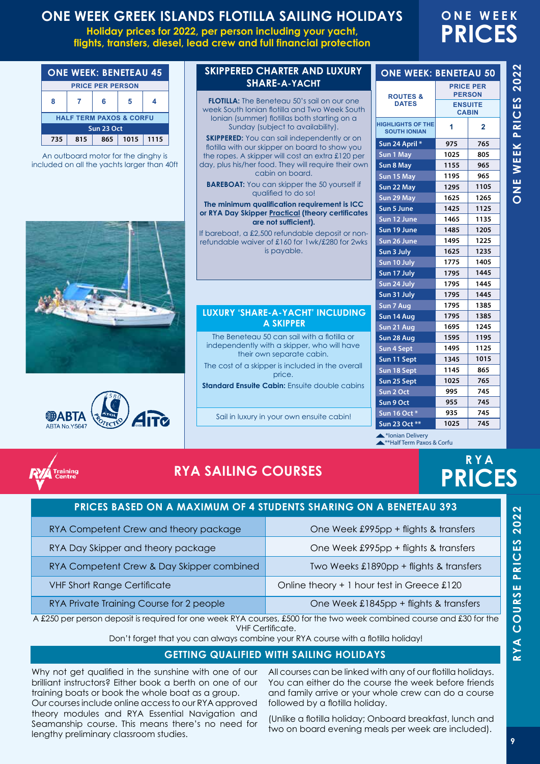**Holiday prices for 2022, per person including your yacht, flights, transfers, diesel, lead crew and full financial protection**

## **ONE WEEK PRICES**

| <b>ONE WEEK: BENETEAU 45</b>       |     |     |      |      |  |  |
|------------------------------------|-----|-----|------|------|--|--|
| <b>PRICE PER PERSON</b>            |     |     |      |      |  |  |
| ጸ                                  |     | 6   |      |      |  |  |
| <b>HALF TERM PAXOS &amp; CORFU</b> |     |     |      |      |  |  |
| Sun 23 Oct                         |     |     |      |      |  |  |
| 735                                | 815 | 865 | 1015 | 1115 |  |  |

An outboard motor for the dinghy is included on all the yachts larger than 40ft





#### **SKIPPERED CHARTER AND LUXURY SHARE-A-YACHT**

**FLOTILLA:** The Beneteau 50's sail on our one week South Ionian flotilla and Two Week South Ionian (summer) flotillas both starting on a Sunday (subject to availability).

**SKIPPERED:** You can sail independently or on flotilla with our skipper on board to show you the ropes. A skipper will cost an extra £120 per day, plus his/her food. They will require their own cabin on board.

**BAREBOAT:** You can skipper the 50 yourself if qualified to do so!

#### **The minimum qualification requirement is ICC or RYA Day Skipper Practical (theory certificates are not sufficient).**

If bareboat, a £2,500 refundable deposit or nonrefundable waiver of £160 for 1wk/£280 for 2wks is payable.

#### **LUXURY 'SHARE-A-YACHT' INCLUDING A SKIPPER**

The Beneteau 50 can sail with a flotilla or independently with a skipper, who will have their own separate cabin. The cost of a skipper is included in the overall price.

**Standard Ensuite Cabin:** Ensuite double cabins

Sail in luxury in your own ensuite cabin!

| <b>ONE WEEK: BENETEAU 50</b>                    |                                   |                |  |  |  |  |
|-------------------------------------------------|-----------------------------------|----------------|--|--|--|--|
| <b>ROUTES &amp;</b>                             | <b>PRICE PER</b><br><b>PERSON</b> |                |  |  |  |  |
| <b>DATES</b>                                    | <b>ENSUITE</b><br><b>CABIN</b>    |                |  |  |  |  |
| <b>HIGHLIGHTS OF THE</b><br><b>SOUTH IONIAN</b> | 1                                 | $\overline{2}$ |  |  |  |  |
| Sun 24 April *                                  | 975                               | 765            |  |  |  |  |
| Sun 1 May                                       | 1025                              | 805            |  |  |  |  |
| Sun 8 May                                       | 1155                              | 965            |  |  |  |  |
| Sun 15 May                                      | 1195                              | 965            |  |  |  |  |
| Sun 22 May                                      | 1295                              | 1105           |  |  |  |  |
| Sun 29 May                                      | 1625                              | 1265           |  |  |  |  |
| Sun 5 June                                      | 1425                              | 1125           |  |  |  |  |
| Sun 12 June                                     | 1465                              | 1135           |  |  |  |  |
| Sun 19 June                                     | 1485                              | 1205           |  |  |  |  |
| Sun 26 June                                     | 1495                              | 1225           |  |  |  |  |
| Sun 3 July                                      | 1625                              | 1235           |  |  |  |  |
| Sun 10 July                                     | 1775                              | 1405           |  |  |  |  |
| Sun 17 July                                     | 1795                              | 1445           |  |  |  |  |
| Sun 24 July                                     | 1795                              | 1445           |  |  |  |  |
| Sun 31 July                                     | 1795                              | 1445           |  |  |  |  |
| Sun 7 Aug                                       | 1795                              | 1385           |  |  |  |  |
| Sun 14 Aug                                      | 1795                              | 1385           |  |  |  |  |
| Sun 21 Aug                                      | 1695                              | 1245           |  |  |  |  |
| Sun 28 Aug                                      | 1595                              | 1195           |  |  |  |  |
| Sun 4 Sept                                      | 1495                              | 1125           |  |  |  |  |
| Sun 11 Sept                                     | 1345                              | 1015           |  |  |  |  |
| Sun 18 Sept                                     | 1145                              | 865            |  |  |  |  |
| Sun 25 Sept                                     | 1025                              | 765            |  |  |  |  |
| Sun 2 Oct                                       | 995                               | 745            |  |  |  |  |
| Sun 9 Oct                                       | 955                               | 745            |  |  |  |  |
| Sun 16 Oct *                                    | 935                               | 745            |  |  |  |  |
| Sun 23 Oct **                                   | 1025                              | 745            |  |  |  |  |

\*\*Half Term Paxos & Corfu **A**\*lonian Delivery



## **RYA SAILING COURSES**

## **RYA PRICES**

|                                           | <b>PRICES BASED ON A MAXIMUM OF 4 STUDENTS SHARING ON A BENETEAU 393</b> |
|-------------------------------------------|--------------------------------------------------------------------------|
| RYA Competent Crew and theory package     | One Week £995pp + flights & transfers                                    |
| RYA Day Skipper and theory package        | One Week £995pp + flights & transfers                                    |
| RYA Competent Crew & Day Skipper combined | Two Weeks £1890pp + flights & transfers                                  |
| <b>VHF Short Range Certificate</b>        | Online theory + 1 hour test in Greece £120                               |
| RYA Private Training Course for 2 people  | One Week £1845pp + flights & transfers                                   |

A £250 per person deposit is required for one week RYA courses, £500 for the two week combined course and £30 for the VHF Certificate.

Don't forget that you can always combine your RYA course with a flotilla holiday!

#### **GETTING QUALIFIED WITH SAILING HOLIDAYS**

Why not get qualified in the sunshine with one of our brilliant instructors? Either book a berth on one of our training boats or book the whole boat as a group.

Our courses include online access to our RYA approved theory modules and RYA Essential Navigation and Seamanship course. This means there's no need for lengthy preliminary classroom studies.

All courses can be linked with any of our flotilla holidays. You can either do the course the week before friends and family arrive or your whole crew can do a course followed by a flotilla holiday.

(Unlike a flotilla holiday; Onboard breakfast, lunch and two on board evening meals per week are included).

**RYA COURSE PRICES 2022**

RYA COURSE PRICES 2022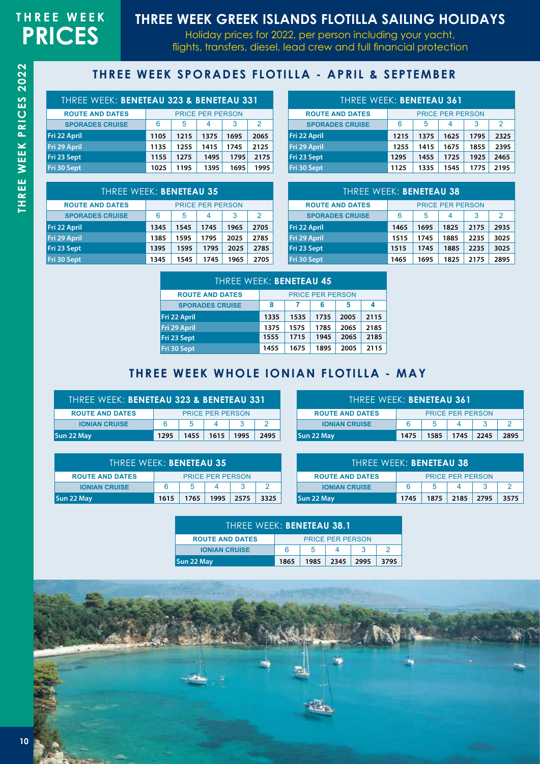## **RYA** SAILING SCHOOL IN THE **GREEK ISLANDS THREE WEEK GREEK ISLANDS FLOTILLA SAILING HOLIDAYS**

Holiday prices for 2022, per person including your yacht, flights, transfers, diesel, lead crew and full financial protection

### **THREE WEEK SPORADES FLOTILLA - APRIL & SEPTEMBER**

| THREE WEEK: BENETEAU 323 & BENETEAU 331 |                                   |      |      |      |      |  |  |
|-----------------------------------------|-----------------------------------|------|------|------|------|--|--|
| <b>ROUTE AND DATES</b>                  | <b>PRICE PER PERSON</b>           |      |      |      |      |  |  |
| <b>SPORADES CRUISE</b>                  | $\mathcal{P}$<br>6<br>5<br>3<br>4 |      |      |      |      |  |  |
| Fri 22 April                            | 1105                              | 1215 | 1375 | 1695 | 2065 |  |  |
| Fri 29 April                            | 1135                              | 1255 | 1415 | 1745 | 2125 |  |  |
| Fri 23 Sept                             | 1155                              | 1275 | 1495 | 1795 | 2175 |  |  |
| Fri 30 Sept                             | 1025                              | 1195 | 1395 | 1695 | 1995 |  |  |

| THREE WEEK: BENETEAU 361 |                  |                         |      |      |      |  |
|--------------------------|------------------|-------------------------|------|------|------|--|
| <b>ROUTE AND DATES</b>   |                  | <b>PRICE PER PERSON</b> |      |      |      |  |
| <b>SPORADES CRUISE</b>   | 6<br>5<br>3<br>4 |                         |      |      | 2    |  |
| Fri 22 April             | 1215             | 1375                    | 1625 | 1795 | 2325 |  |
| Fri 29 April             | 1255             | 1415                    | 1675 | 1855 | 2395 |  |
| Fri 23 Sept              | 1295             | 1455                    | 1725 | 1925 | 2465 |  |
| Fri 30 Sept              | 1125             | 1335                    | 1545 | 1775 | 2195 |  |

| <b>THREE WEEK: BENETEAU 35</b> |      |                         |      |      |      |  |
|--------------------------------|------|-------------------------|------|------|------|--|
| <b>ROUTE AND DATES</b>         |      | <b>PRICE PER PERSON</b> |      |      |      |  |
| <b>SPORADES CRUISE</b>         | 6    | 5                       | 4    | 3    | 2    |  |
| Fri 22 April                   | 1345 | 1545                    | 1745 | 1965 | 2705 |  |
| Fri 29 April                   | 1385 | 1595                    | 1795 | 2025 | 2785 |  |
| Fri 23 Sept                    | 1395 | 1595                    | 1795 | 2025 | 2785 |  |
| Fri 30 Sept                    | 1345 | 1545                    | 1745 | 1965 | 2705 |  |

| <b>THREE WEEK: BENETEAU 38</b> |                         |      |      |      |      |  |  |
|--------------------------------|-------------------------|------|------|------|------|--|--|
| <b>ROUTE AND DATES</b>         | <b>PRICE PER PERSON</b> |      |      |      |      |  |  |
| <b>SPORADES CRUISE</b>         | 2<br>6<br>5<br>3        |      |      |      |      |  |  |
| Fri 22 April                   | 1465                    | 1695 | 1825 | 2175 | 2935 |  |  |
| Fri 29 April                   | 1515                    | 1745 | 1885 | 2235 | 3025 |  |  |
| Fri 23 Sept                    | 1515                    | 1745 | 1885 | 2235 | 3025 |  |  |
| Fri 30 Sept                    | 1465                    | 1695 | 1825 | 2175 | 2895 |  |  |

| THREE WEEK: BENETEAU 45 |      |      |                         |      |      |
|-------------------------|------|------|-------------------------|------|------|
| <b>ROUTE AND DATES</b>  |      |      | <b>PRICE PER PERSON</b> |      |      |
| <b>SPORADES CRUISE</b>  | 8    |      | 6                       | 5    | 4    |
| Fri 22 April            | 1335 | 1535 | 1735                    | 2005 | 2115 |
| Fri 29 April            | 1375 | 1575 | 1785                    | 2065 | 2185 |
| Fri 23 Sept             | 1555 | 1715 | 1945                    | 2065 | 2185 |
| Fri 30 Sept             | 1455 | 1675 | 1895                    | 2005 | 2115 |

### **THREE WEEK WHOLE IONIAN FLOTILLA - MAY**

| THREE WEEK: BENETEAU 323 & BENETEAU 331 |      |      |                         |      |      |
|-----------------------------------------|------|------|-------------------------|------|------|
| <b>ROUTE AND DATES</b>                  |      |      | <b>PRICE PER PERSON</b> |      |      |
| <b>IONIAN CRUISE</b>                    | 6    | 5    |                         |      |      |
| Sun 22 May                              | 1295 | 1455 | 1615                    | 1995 | 2495 |

| THREE WEEK: BENETEAU 35 |      |      |                         |      |      |
|-------------------------|------|------|-------------------------|------|------|
| <b>ROUTE AND DATES</b>  |      |      | <b>PRICE PER PERSON</b> |      |      |
| <b>IONIAN CRUISE</b>    | 6    | 5    |                         |      |      |
| Sun 22 May              | 1615 | 1765 | 1995                    | 2575 | 3325 |

| THREE WEEK: BENETEAU 361                        |   |   |                         |  |  |
|-------------------------------------------------|---|---|-------------------------|--|--|
| <b>ROUTE AND DATES</b>                          |   |   | <b>PRICE PER PERSON</b> |  |  |
| <b>IONIAN CRUISE</b>                            | 6 | 5 |                         |  |  |
| Sun 22 May<br>1745 2245<br>1475<br>1585<br>2895 |   |   |                         |  |  |

| THREE WEEK: BENETEAU 38'                             |    |  |                         |  |  |
|------------------------------------------------------|----|--|-------------------------|--|--|
| <b>ROUTE AND DATES</b>                               |    |  | <b>PRICE PER PERSON</b> |  |  |
| <b>IONIAN CRUISE</b>                                 | ิค |  |                         |  |  |
| Sun 22 May<br>2185  <br>3575<br>1745<br>1875<br>2795 |    |  |                         |  |  |

| THRFF WFFK: BENETEAU 38.1                           |   |   |                         |  |  |
|-----------------------------------------------------|---|---|-------------------------|--|--|
| <b>ROUTE AND DATES</b>                              |   |   | <b>PRICE PER PERSON</b> |  |  |
| <b>IONIAN CRUISE</b>                                | 6 | 5 |                         |  |  |
| Sun 22 May<br>2345<br>-2995<br>1985<br>3795<br>1865 |   |   |                         |  |  |



**THREE WEEK PRICES**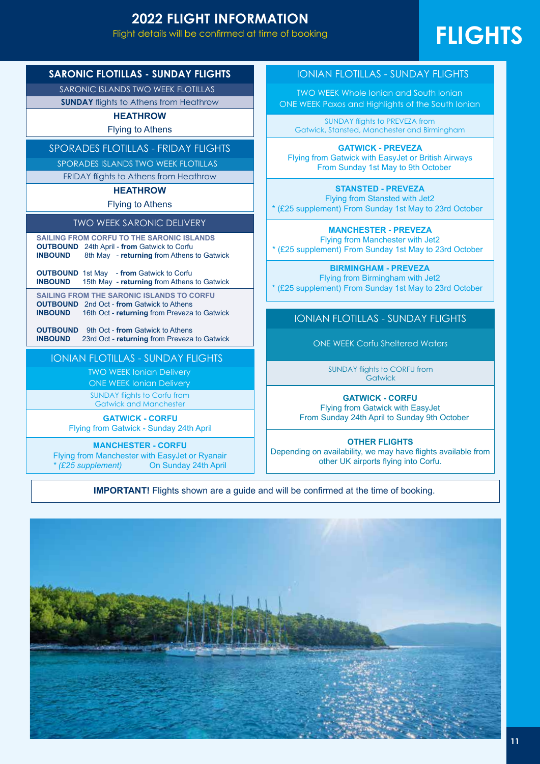## **2022 FLIGHT INFORMATION**

Flight details will be confirmed at time of booking. This is a guide of  $\mathsf{S}$ 

# FLIGHTS

**SARONIC FLOTILLAS - SUNDAY FLIGHTS**

SARONIC ISLANDS TWO WEEK FLOTILLAS

**SUNDAY** flights to Athens from Heathrow

#### **HEATHROW**

Flying to Athens

#### SPORADES FLOTILLAS - FRIDAY FLIGHTS

SPORADES ISLANDS TWO WEEK FLOTILLAS

FRIDAY flights to Athens from Heathrow

#### **HEATHROW**

#### Flying to Athens

#### TWO WEEK SARONIC DELIVERY

**SAILING FROM CORFU TO THE SARONIC ISLANDS OUTBOUND** 24th April - **from** Gatwick to Corfu 8th May - **returning** from Athens to Gatwick

**OUTBOUND** 1st May - from Gatwick to Corfu<br>**INBOUND** 15th May - returning from Athens 15th May - **returning** from Athens to Gatwick

**SAILING FROM THE SARONIC ISLANDS TO CORFU OUTBOUND** 2nd Oct - **from** Gatwick to Athens **INBOUND** 16th Oct - **returning** from Preveza to Gatwick

**OUTBOUND** 9th Oct - **from** Gatwick to Athens **INBOUND** 23rd Oct - **returning** from Preveza to Gatwick

#### IONIAN FLOTILLAS - SUNDAY FLIGHTS

TWO WEEK Ionian Delivery

ONE WEEK Ionian Delivery

SUNDAY flights to Corfu from Gatwick and Manchester

**GATWICK - CORFU**

Flying from Gatwick - Sunday 24th April

**MANCHESTER - CORFU**

Flying from Manchester with EasyJet or Ryanair *\* (£25 supplement)* On Sunday 24th April IONIAN FLOTILLAS - SUNDAY FLIGHTS

TWO WEEK Whole Ionian and South Ionian ONE WEEK Paxos and Highlights of the South Ionian

SUNDAY flights to PREVEZA from Gatwick, Stansted, Manchester and Birmingham

**GATWICK - PREVEZA** Flying from Gatwick with EasyJet or British Airways From Sunday 1st May to 9th October

**STANSTED - PREVEZA** Flying from Stansted with Jet2 \* (£25 supplement) From Sunday 1st May to 23rd October

**MANCHESTER - PREVEZA** Flying from Manchester with Jet2 \* (£25 supplement) From Sunday 1st May to 23rd October

**BIRMINGHAM - PREVEZA**

Flying from Birmingham with Jet2 \* (£25 supplement) From Sunday 1st May to 23rd October

IONIAN FLOTILLAS - SUNDAY FLIGHTS

ONE WEEK Corfu Sheltered Waters

SUNDAY flights to CORFU from **Gatwick** 

#### **GATWICK - CORFU**

Flying from Gatwick with EasyJet From Sunday 24th April to Sunday 9th October

#### **OTHER FLIGHTS**

Depending on availability, we may have flights available from other UK airports flying into Corfu.

**IMPORTANT!** Flights shown are a guide and will be confirmed at the time of booking.

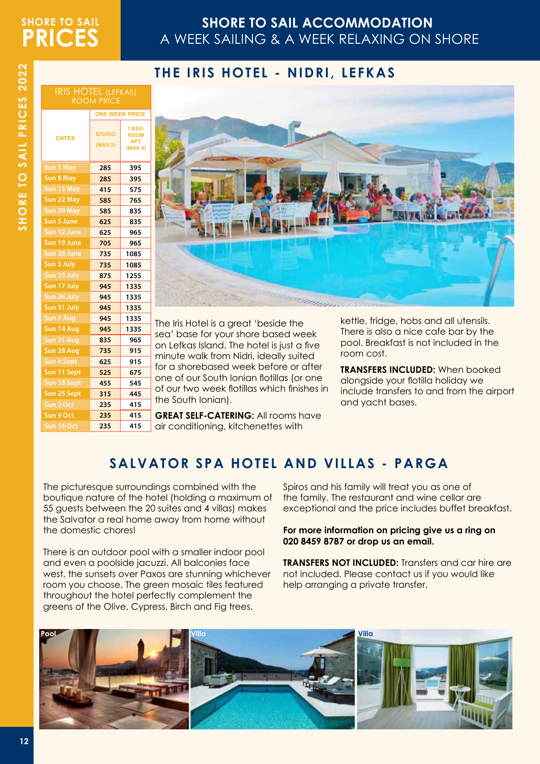## **SHORE TO SAIL PRICES**

## **SHORE TO SAIL ACCOMMODATION**  A WEEK SAILING & A WEEK RELAXING ON SHORE

### **THE IRIS HOTEL - NIDRI, LEFKAS**

|                   | <b>ONE WEEK PRICE</b>    |                                                |  |
|-------------------|--------------------------|------------------------------------------------|--|
| <b>DATES</b>      | <b>STUDIO</b><br>(MAX 2) | 1 BED-<br><b>ROOM</b><br><b>APT</b><br>(MAX 4) |  |
| <b>Sun 1 May</b>  | 285                      | 395                                            |  |
| <b>Sun 8 May</b>  | 285                      | 395                                            |  |
| Sun 15 May        | 415                      | 575                                            |  |
| Sun 22 May        | 585                      | 765                                            |  |
| Sun 29 May        | 585                      | 835                                            |  |
| Sun 5 June        | 625                      | 835                                            |  |
| Sun 12 June       | 625                      | 965                                            |  |
| Sun 19 June       | 705                      | 965                                            |  |
| Sun 26 June       | 735                      | 1085                                           |  |
| Sun 3 July        | 735                      | 1085                                           |  |
| Sun 10 July       | 875                      | 1255                                           |  |
| Sun 17 July       | 945                      | 1335                                           |  |
| Sun 24 July       | 945                      | 1335                                           |  |
| Sun 31 July       | 945                      | 1335                                           |  |
| Sun 7 Aug         | 945                      | 1335                                           |  |
| Sun 14 Aug        | 945                      | 1335                                           |  |
| Sun 21 Aug        | 835                      | 965                                            |  |
| Sun 28 Aug        | 735                      | 915                                            |  |
| <b>Sun 4 Sept</b> | 625                      | 915                                            |  |
| Sun 11 Sept       | 525                      | 675                                            |  |
| Sun 18 Sept       | 455                      | 545                                            |  |
| Sun 25 Sept       | 315                      | 445                                            |  |
| Sun 2 Oct         | 235                      | 415                                            |  |
| Sun 9 Oct         | 235                      | 415                                            |  |
| Sun 16 Oct        | 235                      | 415                                            |  |

IRIS HOTEL (LEFKAS) ROOM PRICE



The Iris Hotel is a great 'beside the sea' base for your shore based week on Lefkas Island. The hotel is just a five minute walk from Nidri, ideally suited for a shorebased week before or after one of our South Ionian flotillas (or one of our two week flotillas which finishes in the South Ionian).

**GREAT SELF-CATERING:** All rooms have air conditioning, kitchenettes with

kettle, fridge, hobs and all utensils. There is also a nice cafe bar by the pool. Breakfast is not included in the room cost.

**TRANSFERS INCLUDED:** When booked alongside your flotilla holiday we include transfers to and from the airport and yacht bases.

## **SALVATOR SPA HOTEL AND VILLAS - PARGA**

The picturesque surroundings combined with the boutique nature of the hotel (holding a maximum of 55 guests between the 20 suites and 4 villas) makes the Salvator a real home away from home without the domestic chores!

There is an outdoor pool with a smaller indoor pool and even a poolside jacuzzi. All balconies face west, the sunsets over Paxos are stunning whichever room you choose. The green mosaic tiles featured throughout the hotel perfectly complement the greens of the Olive, Cypress, Birch and Fig trees.

Spiros and his family will treat you as one of the family. The restaurant and wine cellar are exceptional and the price includes buffet breakfast.

#### **For more information on pricing give us a ring on 020 8459 8787 or drop us an email.**

**TRANSFERS NOT INCLUDED:** Transfers and car hire are not included. Please contact us if you would like help arranging a private transfer.

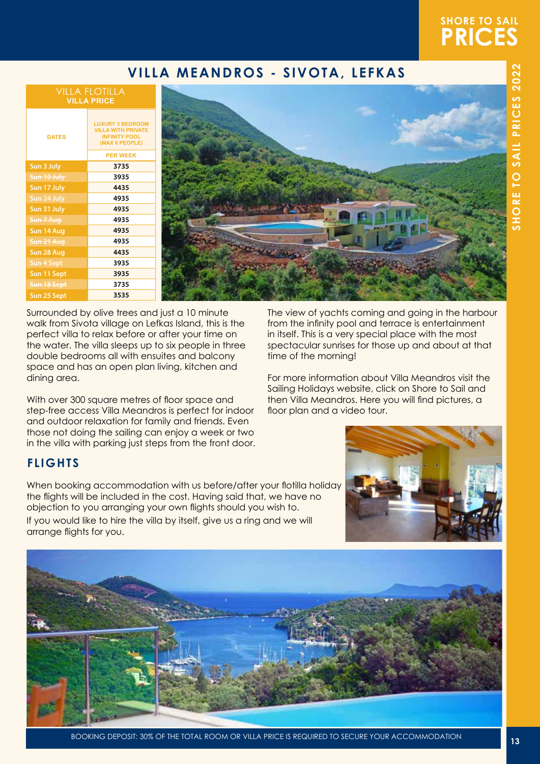## **SHORE TO SAIL PRICES**

## **VILLA MEANDROS - SIVOTA, LEFKAS**

#### VILLA FLOTILLA **VILLA PRICE**

| <b>DATES</b>          | <b>LUXURY 3 BEDROOM</b><br><b>VILLA WITH PRIVATE</b><br><b>INFINITY POOL</b><br>(MAX 6 PEOPLE) |
|-----------------------|------------------------------------------------------------------------------------------------|
|                       | <b>PER WEEK</b>                                                                                |
| Sun 3 July            | 3735                                                                                           |
| Sun 10 July           | 3935                                                                                           |
| Sun 17 July           | 4435                                                                                           |
| Sun 24 July           | 4935                                                                                           |
| Sun 31 July           | 4935                                                                                           |
| Sun 7 Aug             | 4935                                                                                           |
| Sun 14 Aug            | 4935                                                                                           |
| <del>Sun 21 Aug</del> | 4935                                                                                           |
| Sun 28 Aug            | 4435                                                                                           |
| <b>Sun 4 Sept</b>     | 3935                                                                                           |
| Sun 11 Sept           | 3935                                                                                           |
| Sun 18 Sept           | 3735                                                                                           |
| Sun 25 Sept           | 3535                                                                                           |



Surrounded by olive trees and just a 10 minute walk from Sivota village on Lefkas Island, this is the perfect villa to relax before or after your time on the water. The villa sleeps up to six people in three double bedrooms all with ensuites and balcony space and has an open plan living, kitchen and dining area.

With over 300 square metres of floor space and step-free access Villa Meandros is perfect for indoor and outdoor relaxation for family and friends. Even those not doing the sailing can enjoy a week or two in the villa with parking just steps from the front door. The view of yachts coming and going in the harbour from the infinity pool and terrace is entertainment in itself. This is a very special place with the most spectacular sunrises for those up and about at that time of the morning!

For more information about Villa Meandros visit the Sailing Holidays website, click on Shore to Sail and then Villa Meandros. Here you will find pictures, a floor plan and a video tour.

### **FLIGHTS**

When booking accommodation with us before/after your flotilla holiday the flights will be included in the cost. Having said that, we have no objection to you arranging your own flights should you wish to. If you would like to hire the villa by itself, give us a ring and we will arrange flights for you.



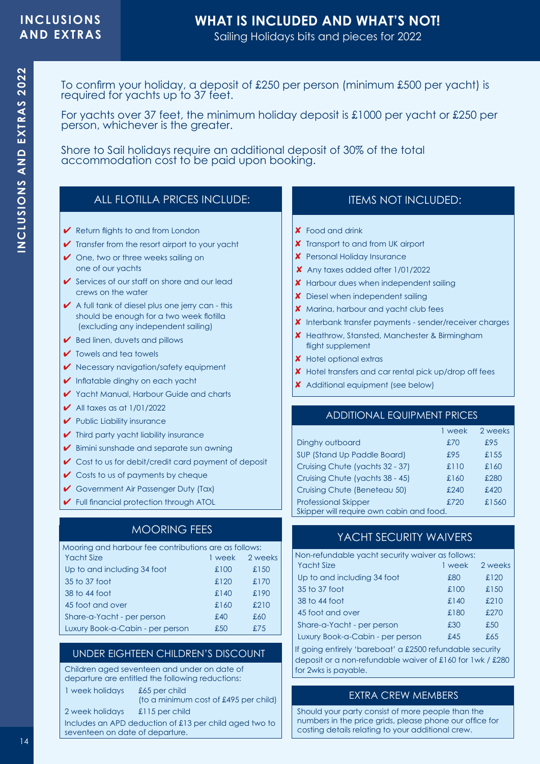# **WHAT IS INCLUDED AND WHAT'S NOT!**

Sailing Holidays bits and pieces for 2022

To confirm your holiday, a deposit of £250 per person (minimum £500 per yacht) is required for yachts up to 37 feet.

For yachts over 37 feet, the minimum holiday deposit is £1000 per yacht or £250 per person, whichever is the greater.

Shore to Sail holidays require an additional deposit of 30% of the total accommodation cost to be paid upon booking.

#### ALL FLOTILLA PRICES INCLUDE:

- $\vee$  Return flights to and from London
- $\checkmark$  Transfer from the resort airport to your yacht
- $\vee$  One, two or three weeks sailing on one of our yachts
- $\checkmark$  Services of our staff on shore and our lead crews on the water
- $\blacktriangleright$  A full tank of diesel plus one jerry can this should be enough for a two week flotilla (excluding any independent sailing)
- $\blacktriangleright$  Bed linen, duvets and pillows
- $\triangleright$  Towels and tea towels
- 4 Necessary navigation/safety equipment
- ◆ Inflatable dinghy on each yacht
- 4 Yacht Manual, Harbour Guide and charts
- $\blacktriangleright$  All taxes as at 1/01/2022
- $\blacktriangleright$  Public Liability insurance
- $\blacktriangleright$  Third party vacht liability insurance
- $\blacktriangleright$  Bimini sunshade and separate sun awning
- $\checkmark$  Cost to us for debit/credit card payment of deposit
- $\vee$  Costs to us of payments by cheque
- Government Air Passenger Duty (Tax)
- 4 Full financial protection through ATOL

#### MOORING FEES

| Mooring and harbour fee contributions are as follows: |        |         |
|-------------------------------------------------------|--------|---------|
| <b>Yacht Size</b>                                     | 1 week | 2 weeks |
| Up to and including 34 foot                           | £100   | £150    |
| 35 to 37 foot                                         | £120   | £170    |
| 38 to 44 foot                                         | £140   | £190    |
| 45 foot and over                                      | £160   | £210    |
| Share-a-Yacht - per person                            | £40    | £60     |
| Luxury Book-a-Cabin - per person                      | £50    | £75     |

#### UNDER EIGHTEEN CHILDREN'S DISCOUNT

Children aged seventeen and under on date of departure are entitled the following reductions:

1 week holidays £65 per child

(to a minimum cost of £495 per child)

2 week holidays £115 per child

Includes an APD deduction of £13 per child aged two to seventeen on date of departure.

### ITEMS NOT INCLUDED:

- 8 Food and drink
- **X** Transport to and from UK airport
- **X** Personal Holiday Insurance
- $x$  Any taxes added after  $1/01/2022$
- **X** Harbour dues when independent sailing
- **X** Diesel when independent sailing
- **X** Marina, harbour and yacht club fees
- 8 Interbank transfer payments sender/receiver charges
- **X** Heathrow, Stansted, Manchester & Birmingham flight supplement
- **X** Hotel optional extras
- 8 Hotel transfers and car rental pick up/drop off fees
- **X** Additional equipment (see below)

#### ADDITIONAL EQUIPMENT PRICES

|                                          | 1 week | 2 weeks |
|------------------------------------------|--------|---------|
| Dinghy outboard                          | £70    | £95     |
| SUP (Stand Up Paddle Board)              | £95    | £155    |
| Cruising Chute (yachts 32 - 37)          | £110   | £160    |
| Cruising Chute (yachts 38 - 45)          | £160   | £280    |
| Cruising Chute (Beneteau 50)             | £240   | £420    |
| <b>Professional Skipper</b>              | £720   | £1560   |
| Skipper will require own cabin and food. |        |         |

#### YACHT SECURITY WAIVERS

| Non-refundable yacht security waiver as follows: |        |         |
|--------------------------------------------------|--------|---------|
| Yacht Size                                       | 1 week | 2 weeks |
| Up to and including 34 foot                      | £80    | £120    |
| 35 to 37 foot                                    | £100   | £150    |
| 38 to 44 foot                                    | £140   | £210    |
| 45 foot and over                                 | £180   | £270    |
| Share-a-Yacht - per person                       | £30    | £50     |
| Luxury Book-a-Cabin - per person                 | f.45   | £65     |
|                                                  |        |         |

If going entirely 'bareboat' a £2500 refundable security deposit or a non-refundable waiver of £160 for 1wk / £280 for 2wks is payable.

#### EXTRA CREW MEMBERS

Should your party consist of more people than the numbers in the price grids, please phone our office for costing details relating to your additional crew.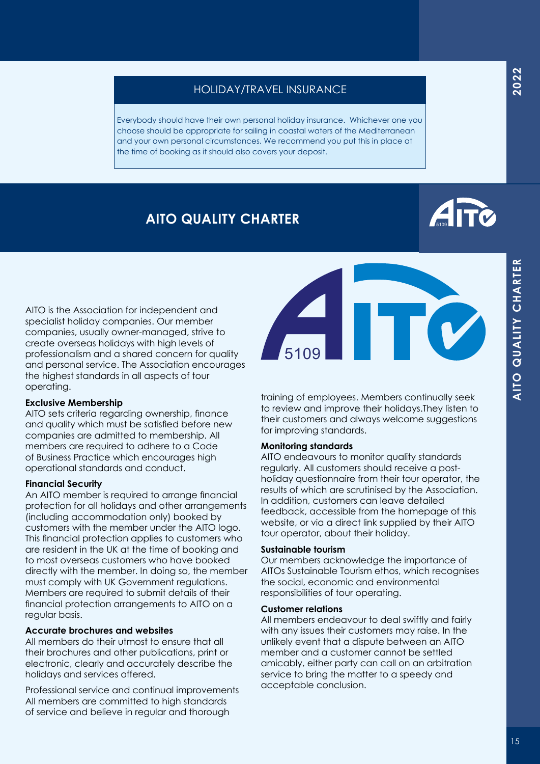ITO QUALITY CHARTER

Everybody should have their own personal holiday insurance. Whichever one you choose should be appropriate for sailing in coastal waters of the Mediterranean and your own personal circumstances. We recommend you put this in place at the time of booking as it should also covers your deposit.

## **AITO QUALITY CHARTER**

AITO is the Association for independent and specialist holiday companies. Our member companies, usually owner-managed, strive to create overseas holidays with high levels of professionalism and a shared concern for quality and personal service. The Association encourages the highest standards in all aspects of tour operating.

#### **Exclusive Membership**

AITO sets criteria regarding ownership, finance and quality which must be satisfied before new companies are admitted to membership. All members are required to adhere to a Code of Business Practice which encourages high operational standards and conduct.

#### **Financial Security**

An AITO member is required to arrange financial protection for all holidays and other arrangements (including accommodation only) booked by customers with the member under the AITO logo. This financial protection applies to customers who are resident in the UK at the time of booking and to most overseas customers who have booked directly with the member. In doing so, the member must comply with UK Government regulations. Members are required to submit details of their financial protection arrangements to AITO on a regular basis.

#### **Accurate brochures and websites**

All members do their utmost to ensure that all their brochures and other publications, print or electronic, clearly and accurately describe the holidays and services offered.

Professional service and continual improvements All members are committed to high standards of service and believe in regular and thorough

training of employees. Members continually seek to review and improve their holidays.They listen to their customers and always welcome suggestions for improving standards.

#### **Monitoring standards**

AITO endeavours to monitor quality standards regularly. All customers should receive a postholiday questionnaire from their tour operator, the results of which are scrutinised by the Association. In addition, customers can leave detailed feedback, accessible from the homepage of this website, or via a direct link supplied by their AITO tour operator, about their holiday.

#### **Sustainable tourism**

Our members acknowledge the importance of AITOs Sustainable Tourism ethos, which recognises the social, economic and environmental responsibilities of tour operating.

#### **Customer relations**

All members endeavour to deal swiftly and fairly with any issues their customers may raise. In the unlikely event that a dispute between an AITO member and a customer cannot be settled amicably, either party can call on an arbitration service to bring the matter to a speedy and acceptable conclusion.



5109